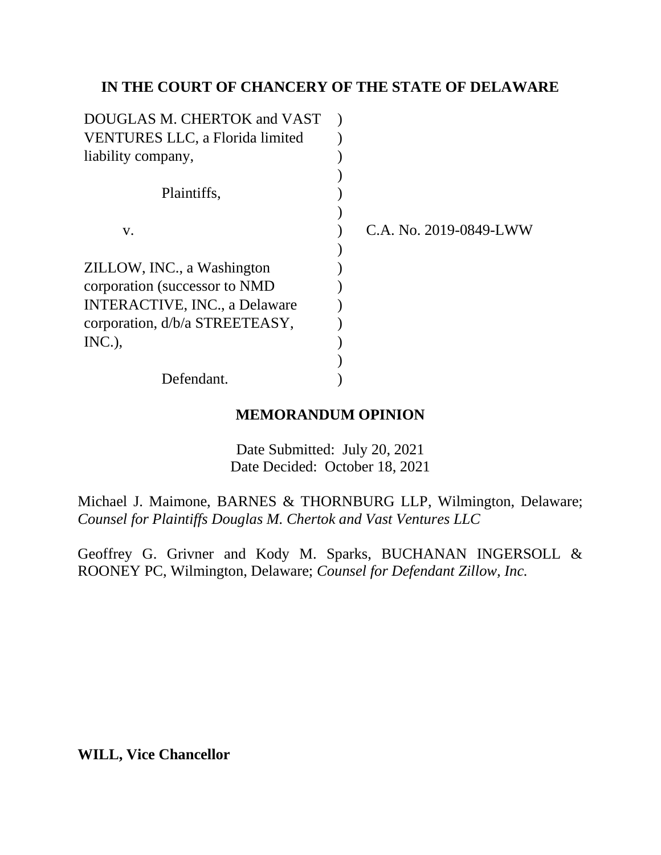## **IN THE COURT OF CHANCERY OF THE STATE OF DELAWARE**

| C.A. No. 2019-0849-LWW |
|------------------------|
|                        |
|                        |
|                        |
|                        |
|                        |
|                        |
|                        |
|                        |
|                        |

#### **MEMORANDUM OPINION**

Date Submitted: July 20, 2021 Date Decided: October 18, 2021

Michael J. Maimone, BARNES & THORNBURG LLP, Wilmington, Delaware; *Counsel for Plaintiffs Douglas M. Chertok and Vast Ventures LLC*

Geoffrey G. Grivner and Kody M. Sparks, BUCHANAN INGERSOLL & ROONEY PC, Wilmington, Delaware; *Counsel for Defendant Zillow, Inc.*

**WILL, Vice Chancellor**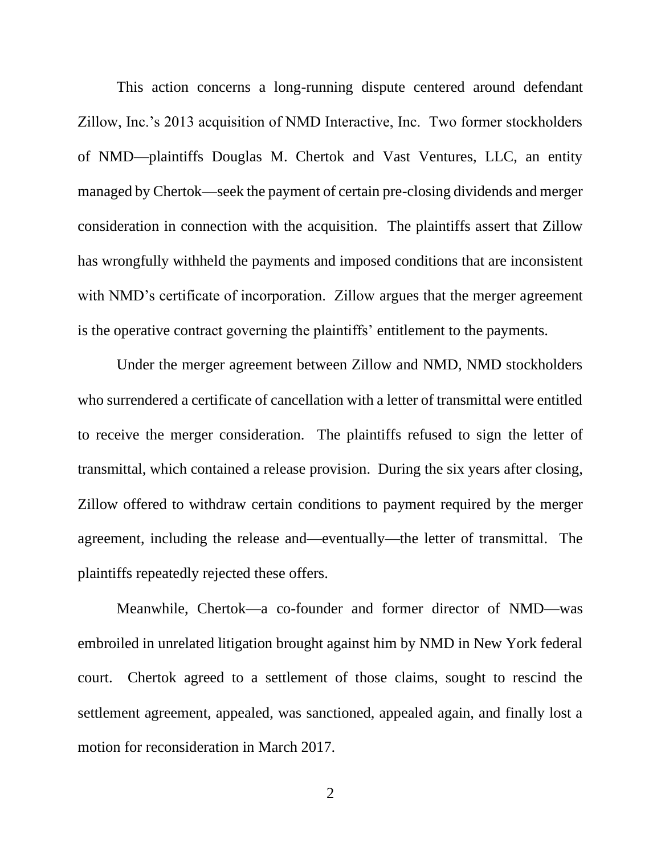This action concerns a long-running dispute centered around defendant Zillow, Inc.'s 2013 acquisition of NMD Interactive, Inc. Two former stockholders of NMD—plaintiffs Douglas M. Chertok and Vast Ventures, LLC, an entity managed by Chertok—seek the payment of certain pre-closing dividends and merger consideration in connection with the acquisition. The plaintiffs assert that Zillow has wrongfully withheld the payments and imposed conditions that are inconsistent with NMD's certificate of incorporation. Zillow argues that the merger agreement is the operative contract governing the plaintiffs' entitlement to the payments.

Under the merger agreement between Zillow and NMD, NMD stockholders who surrendered a certificate of cancellation with a letter of transmittal were entitled to receive the merger consideration. The plaintiffs refused to sign the letter of transmittal, which contained a release provision. During the six years after closing, Zillow offered to withdraw certain conditions to payment required by the merger agreement, including the release and—eventually—the letter of transmittal. The plaintiffs repeatedly rejected these offers.

Meanwhile, Chertok—a co-founder and former director of NMD—was embroiled in unrelated litigation brought against him by NMD in New York federal court. Chertok agreed to a settlement of those claims, sought to rescind the settlement agreement, appealed, was sanctioned, appealed again, and finally lost a motion for reconsideration in March 2017.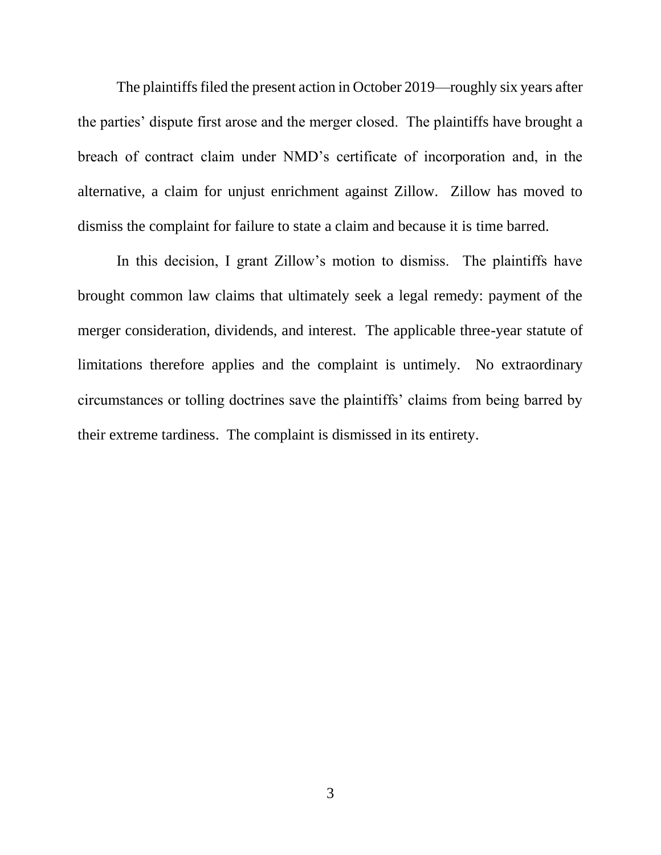The plaintiffs filed the present action in October 2019—roughly six years after the parties' dispute first arose and the merger closed. The plaintiffs have brought a breach of contract claim under NMD's certificate of incorporation and, in the alternative, a claim for unjust enrichment against Zillow. Zillow has moved to dismiss the complaint for failure to state a claim and because it is time barred.

In this decision, I grant Zillow's motion to dismiss. The plaintiffs have brought common law claims that ultimately seek a legal remedy: payment of the merger consideration, dividends, and interest. The applicable three-year statute of limitations therefore applies and the complaint is untimely. No extraordinary circumstances or tolling doctrines save the plaintiffs' claims from being barred by their extreme tardiness. The complaint is dismissed in its entirety.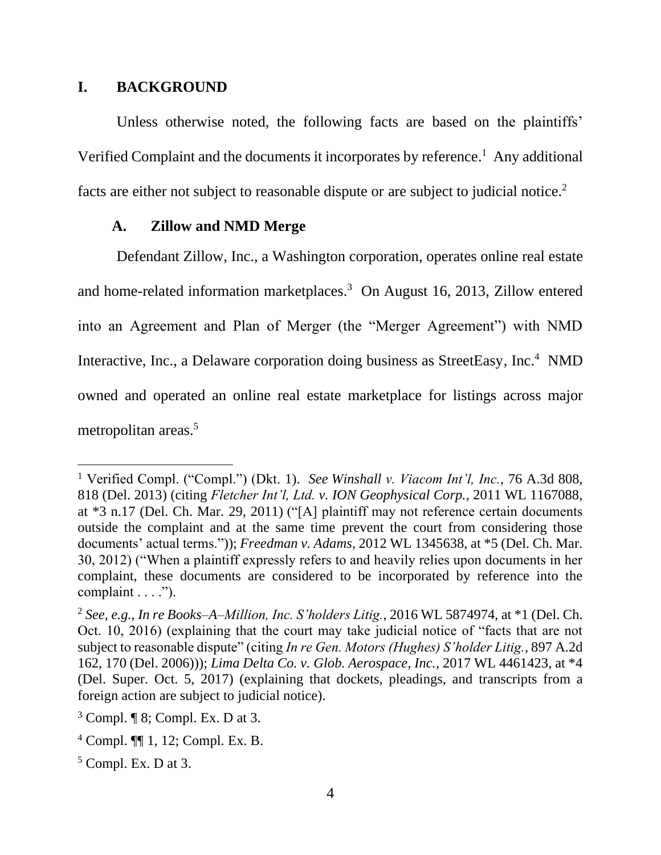#### **I. BACKGROUND**

Unless otherwise noted, the following facts are based on the plaintiffs' Verified Complaint and the documents it incorporates by reference.<sup>1</sup> Any additional facts are either not subject to reasonable dispute or are subject to judicial notice.<sup>2</sup>

#### **A. Zillow and NMD Merge**

Defendant Zillow, Inc., a Washington corporation, operates online real estate and home-related information marketplaces.<sup>3</sup> On August 16, 2013, Zillow entered into an Agreement and Plan of Merger (the "Merger Agreement") with NMD Interactive, Inc., a Delaware corporation doing business as StreetEasy, Inc.<sup>4</sup> NMD owned and operated an online real estate marketplace for listings across major metropolitan areas.<sup>5</sup>

<sup>1</sup> Verified Compl. ("Compl.") (Dkt. 1). *See Winshall v. Viacom Int'l, Inc.*, 76 A.3d 808, 818 (Del. 2013) (citing *Fletcher Int'l, Ltd. v. ION Geophysical Corp.*, 2011 WL 1167088, at \*3 n.17 (Del. Ch. Mar. 29, 2011) ("[A] plaintiff may not reference certain documents outside the complaint and at the same time prevent the court from considering those documents' actual terms.")); *Freedman v. Adams*, 2012 WL 1345638, at \*5 (Del. Ch. Mar. 30, 2012) ("When a plaintiff expressly refers to and heavily relies upon documents in her complaint, these documents are considered to be incorporated by reference into the complaint . . . .").

<sup>2</sup> *See, e.g.*, *In re Books–A–Million, Inc. S'holders Litig.*, 2016 WL 5874974, at \*1 (Del. Ch. Oct. 10, 2016) (explaining that the court may take judicial notice of "facts that are not subject to reasonable dispute" (citing *In re Gen. Motors (Hughes) S'holder Litig.*, 897 A.2d 162, 170 (Del. 2006))); *Lima Delta Co. v. Glob. Aerospace, Inc.*, 2017 WL 4461423, at \*4 (Del. Super. Oct. 5, 2017) (explaining that dockets, pleadings, and transcripts from a foreign action are subject to judicial notice).

 $3$  Compl.  $\llbracket$  8; Compl. Ex. D at 3.

 $4$  Compl.  $\P$  1, 12; Compl. Ex. B.

 $5$  Compl. Ex. D at 3.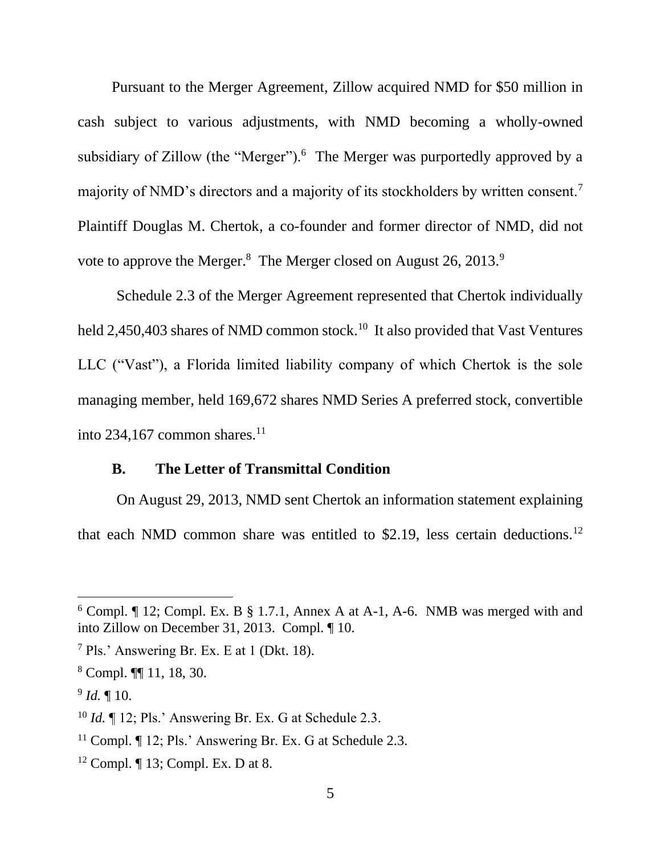Pursuant to the Merger Agreement, Zillow acquired NMD for \$50 million in cash subject to various adjustments, with NMD becoming a wholly-owned subsidiary of Zillow (the "Merger"). $6$  The Merger was purportedly approved by a majority of NMD's directors and a majority of its stockholders by written consent.<sup>7</sup> Plaintiff Douglas M. Chertok, a co-founder and former director of NMD, did not vote to approve the Merger.<sup>8</sup> The Merger closed on August 26, 2013.<sup>9</sup>

Schedule 2.3 of the Merger Agreement represented that Chertok individually held 2,450,403 shares of NMD common stock.<sup>10</sup> It also provided that Vast Ventures LLC ("Vast"), a Florida limited liability company of which Chertok is the sole managing member, held 169,672 shares NMD Series A preferred stock, convertible into 234,167 common shares. $^{11}$ 

#### **B. The Letter of Transmittal Condition**

On August 29, 2013, NMD sent Chertok an information statement explaining that each NMD common share was entitled to \$2.19, less certain deductions.<sup>12</sup>

 $6$  Compl.  $\P$  12; Compl. Ex. B  $\S$  1.7.1, Annex A at A-1, A-6. NMB was merged with and into Zillow on December 31, 2013. Compl. ¶ 10.

<sup>7</sup> Pls.' Answering Br. Ex. E at 1 (Dkt. 18).

<sup>8</sup> Compl. ¶¶ 11, 18, 30.

<sup>9</sup> *Id.* ¶ 10.

<sup>&</sup>lt;sup>10</sup> *Id.*  $\llbracket$  12; Pls.' Answering Br. Ex. G at Schedule 2.3.

<sup>&</sup>lt;sup>11</sup> Compl. ¶ 12; Pls.' Answering Br. Ex. G at Schedule 2.3.

<sup>12</sup> Compl. ¶ 13; Compl. Ex. D at 8.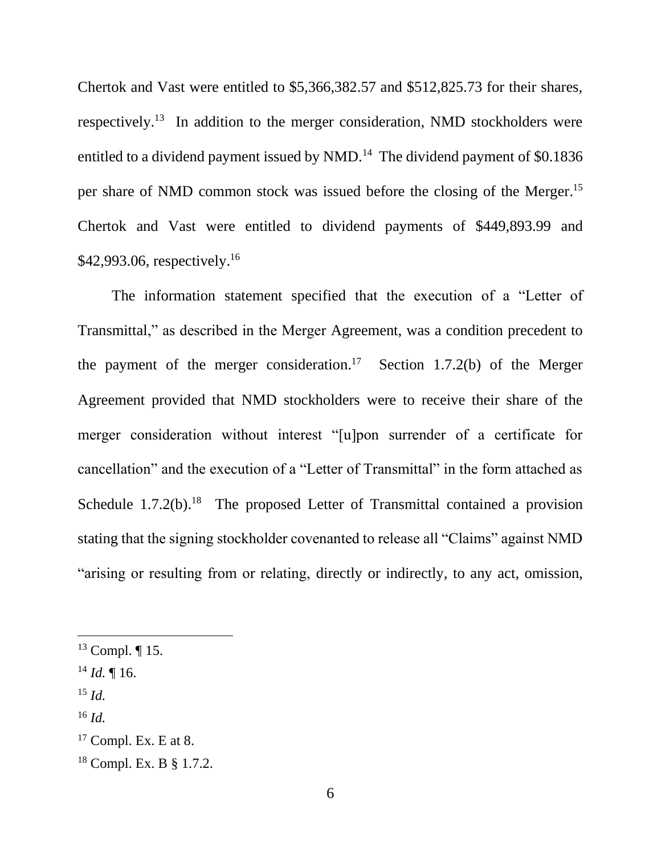Chertok and Vast were entitled to \$5,366,382.57 and \$512,825.73 for their shares, respectively.<sup>13</sup> In addition to the merger consideration, NMD stockholders were entitled to a dividend payment issued by NMD.<sup>14</sup> The dividend payment of \$0.1836 per share of NMD common stock was issued before the closing of the Merger. 15 Chertok and Vast were entitled to dividend payments of \$449,893.99 and \$42,993.06, respectively.<sup>16</sup>

The information statement specified that the execution of a "Letter of Transmittal," as described in the Merger Agreement, was a condition precedent to the payment of the merger consideration.<sup>17</sup> Section 1.7.2(b) of the Merger Agreement provided that NMD stockholders were to receive their share of the merger consideration without interest "[u]pon surrender of a certificate for cancellation" and the execution of a "Letter of Transmittal" in the form attached as Schedule  $1.7.2(b)$ .<sup>18</sup> The proposed Letter of Transmittal contained a provision stating that the signing stockholder covenanted to release all "Claims" against NMD "arising or resulting from or relating, directly or indirectly, to any act, omission,

- <sup>15</sup> *Id.*
- <sup>16</sup> *Id.*

<sup>13</sup> Compl. ¶ 15.

 $^{14}$  *Id.* ¶ 16.

 $17$  Compl. Ex. E at 8.

<sup>18</sup> Compl. Ex. B § 1.7.2.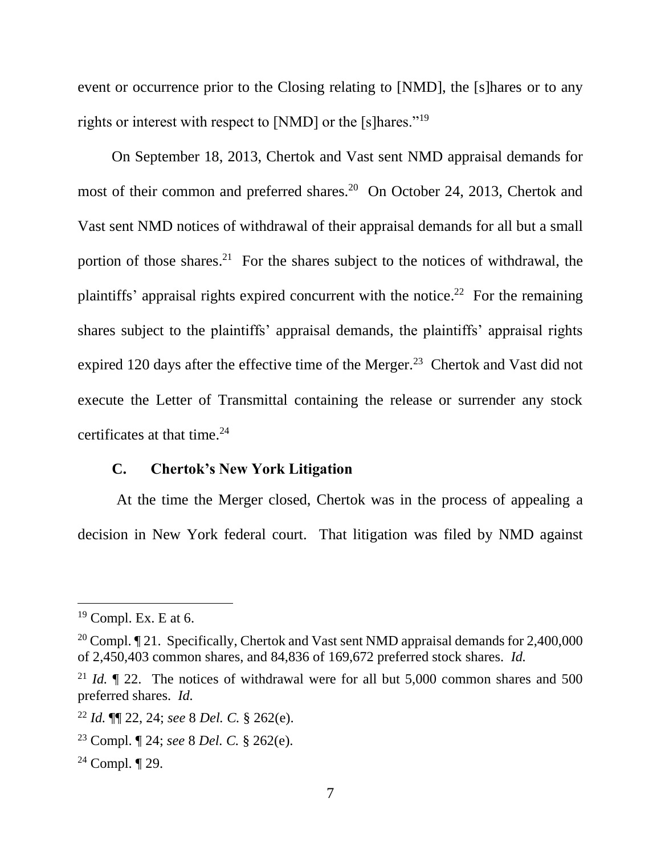event or occurrence prior to the Closing relating to [NMD], the [s]hares or to any rights or interest with respect to [NMD] or the [s]hares."<sup>19</sup>

On September 18, 2013, Chertok and Vast sent NMD appraisal demands for most of their common and preferred shares.<sup>20</sup> On October 24, 2013, Chertok and Vast sent NMD notices of withdrawal of their appraisal demands for all but a small portion of those shares.<sup>21</sup> For the shares subject to the notices of withdrawal, the plaintiffs' appraisal rights expired concurrent with the notice.<sup>22</sup> For the remaining shares subject to the plaintiffs' appraisal demands, the plaintiffs' appraisal rights expired 120 days after the effective time of the Merger.<sup>23</sup> Chertok and Vast did not execute the Letter of Transmittal containing the release or surrender any stock certificates at that time. 24

#### **C. Chertok's New York Litigation**

At the time the Merger closed, Chertok was in the process of appealing a decision in New York federal court. That litigation was filed by NMD against

 $19$  Compl. Ex. E at 6.

<sup>&</sup>lt;sup>20</sup> Compl. ¶ 21. Specifically, Chertok and Vast sent NMD appraisal demands for 2,400,000 of 2,450,403 common shares, and 84,836 of 169,672 preferred stock shares. *Id.*

<sup>&</sup>lt;sup>21</sup> *Id.*  $\parallel$  22. The notices of withdrawal were for all but 5,000 common shares and 500 preferred shares. *Id.*

<sup>22</sup> *Id.* ¶¶ 22, 24; *see* 8 *Del. C.* § 262(e).

<sup>23</sup> Compl. ¶ 24; *see* 8 *Del. C.* § 262(e).

<sup>24</sup> Compl. ¶ 29.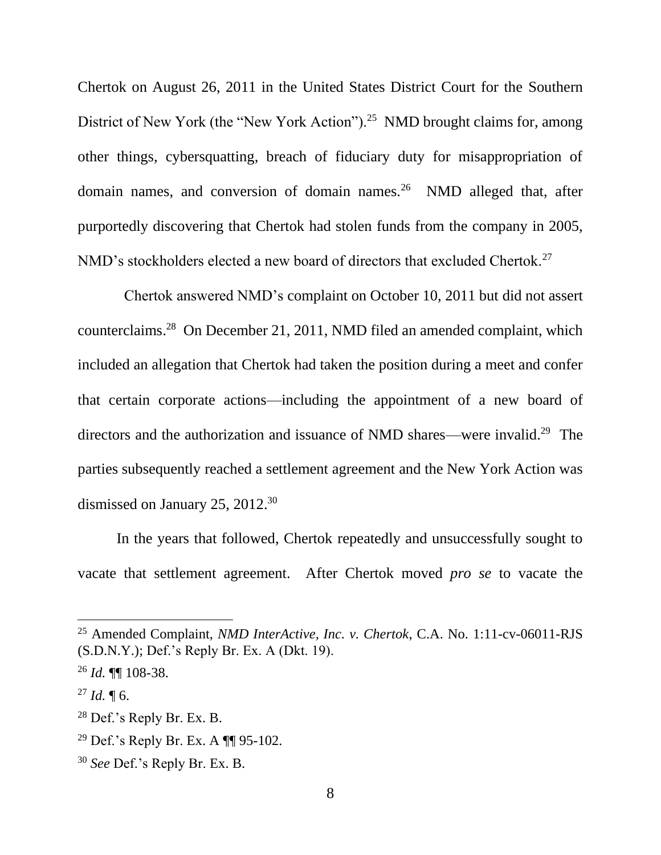Chertok on August 26, 2011 in the United States District Court for the Southern District of New York (the "New York Action").<sup>25</sup> NMD brought claims for, among other things, cybersquatting, breach of fiduciary duty for misappropriation of domain names, and conversion of domain names.<sup>26</sup> NMD alleged that, after purportedly discovering that Chertok had stolen funds from the company in 2005, NMD's stockholders elected a new board of directors that excluded Chertok.<sup>27</sup>

 Chertok answered NMD's complaint on October 10, 2011 but did not assert counterclaims. 28 On December 21, 2011, NMD filed an amended complaint, which included an allegation that Chertok had taken the position during a meet and confer that certain corporate actions—including the appointment of a new board of directors and the authorization and issuance of NMD shares—were invalid.<sup>29</sup> The parties subsequently reached a settlement agreement and the New York Action was dismissed on January 25, 2012. 30

In the years that followed, Chertok repeatedly and unsuccessfully sought to vacate that settlement agreement. After Chertok moved *pro se* to vacate the

<sup>25</sup> Amended Complaint, *NMD InterActive, Inc. v. Chertok*, C.A. No. 1:11-cv-06011-RJS (S.D.N.Y.); Def.'s Reply Br. Ex. A (Dkt. 19).

<sup>26</sup> *Id.* ¶¶ 108-38.

 $^{27}$  *Id.* ¶ 6.

<sup>28</sup> Def.'s Reply Br. Ex. B.

<sup>&</sup>lt;sup>29</sup> Def.'s Reply Br. Ex. A  $\P$  95-102.

<sup>30</sup> *See* Def.'s Reply Br. Ex. B.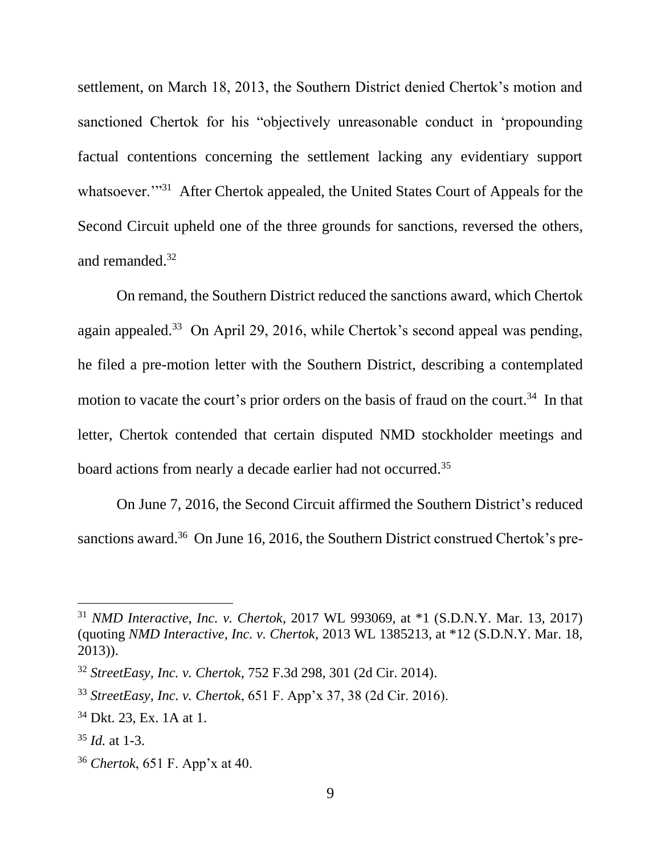settlement, on March 18, 2013, the Southern District denied Chertok's motion and sanctioned Chertok for his "objectively unreasonable conduct in 'propounding factual contentions concerning the settlement lacking any evidentiary support whatsoever.<sup>'"31</sup> After Chertok appealed, the United States Court of Appeals for the Second Circuit upheld one of the three grounds for sanctions, reversed the others, and remanded.<sup>32</sup>

On remand, the Southern District reduced the sanctions award, which Chertok again appealed.<sup>33</sup> On April 29, 2016, while Chertok's second appeal was pending, he filed a pre-motion letter with the Southern District, describing a contemplated motion to vacate the court's prior orders on the basis of fraud on the court.<sup>34</sup> In that letter, Chertok contended that certain disputed NMD stockholder meetings and board actions from nearly a decade earlier had not occurred.<sup>35</sup>

On June 7, 2016, the Second Circuit affirmed the Southern District's reduced sanctions award.<sup>36</sup> On June 16, 2016, the Southern District construed Chertok's pre-

<sup>31</sup> *NMD Interactive, Inc. v. Chertok*, 2017 WL 993069, at \*1 (S.D.N.Y. Mar. 13, 2017) (quoting *NMD Interactive, Inc. v. Chertok*, 2013 WL 1385213, at \*12 (S.D.N.Y. Mar. 18, 2013)).

<sup>32</sup> *StreetEasy, Inc. v. Chertok*, 752 F.3d 298, 301 (2d Cir. 2014).

<sup>33</sup> *StreetEasy, Inc. v. Chertok*, 651 F. App'x 37, 38 (2d Cir. 2016).

<sup>34</sup> Dkt. 23, Ex. 1A at 1.

<sup>35</sup> *Id.* at 1-3.

<sup>36</sup> *Chertok*, 651 F. App'x at 40.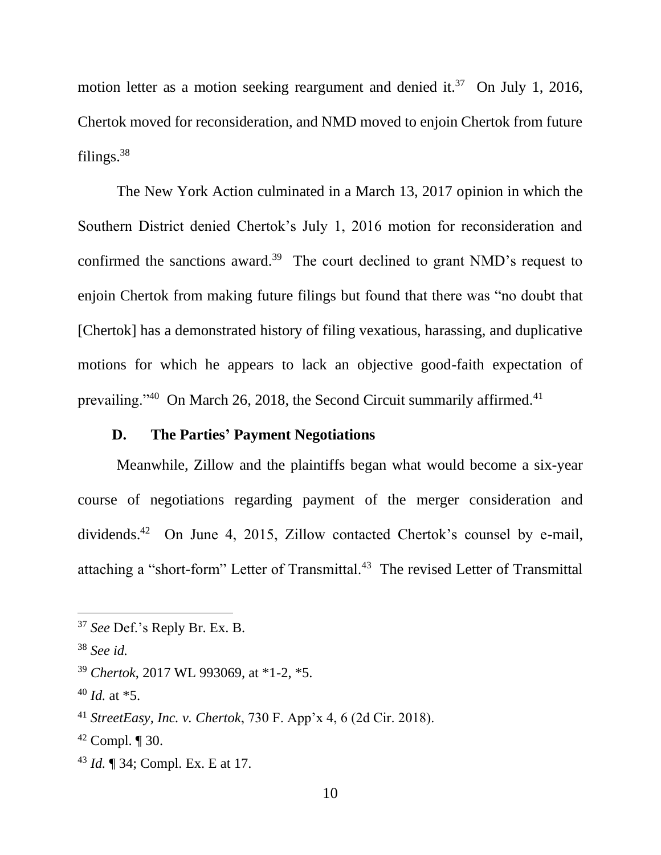motion letter as a motion seeking reargument and denied it.<sup>37</sup> On July 1, 2016, Chertok moved for reconsideration, and NMD moved to enjoin Chertok from future filings.<sup>38</sup>

The New York Action culminated in a March 13, 2017 opinion in which the Southern District denied Chertok's July 1, 2016 motion for reconsideration and confirmed the sanctions award.<sup>39</sup> The court declined to grant NMD's request to enjoin Chertok from making future filings but found that there was "no doubt that [Chertok] has a demonstrated history of filing vexatious, harassing, and duplicative motions for which he appears to lack an objective good-faith expectation of prevailing."<sup>40</sup> On March 26, 2018, the Second Circuit summarily affirmed.<sup>41</sup>

#### **D. The Parties' Payment Negotiations**

Meanwhile, Zillow and the plaintiffs began what would become a six-year course of negotiations regarding payment of the merger consideration and dividends. 42 On June 4, 2015, Zillow contacted Chertok's counsel by e-mail, attaching a "short-form" Letter of Transmittal.<sup>43</sup> The revised Letter of Transmittal

<sup>43</sup> *Id.* ¶ 34; Compl. Ex. E at 17.

<sup>37</sup> *See* Def.'s Reply Br. Ex. B.

<sup>38</sup> *See id.*

<sup>39</sup> *Chertok*, 2017 WL 993069, at \*1-2, \*5.

<sup>40</sup> *Id.* at \*5.

<sup>41</sup> *StreetEasy, Inc. v. Chertok*, 730 F. App'x 4, 6 (2d Cir. 2018).

 $42$  Compl.  $\P$  30.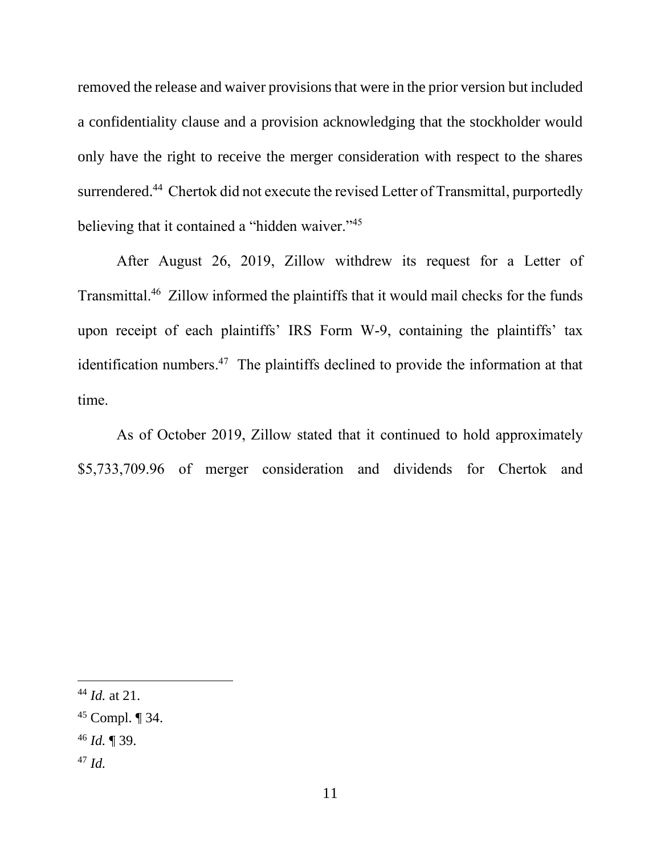removed the release and waiver provisions that were in the prior version but included a confidentiality clause and a provision acknowledging that the stockholder would only have the right to receive the merger consideration with respect to the shares surrendered.<sup>44</sup> Chertok did not execute the revised Letter of Transmittal, purportedly believing that it contained a "hidden waiver."<sup>45</sup>

After August 26, 2019, Zillow withdrew its request for a Letter of Transmittal.<sup>46</sup> Zillow informed the plaintiffs that it would mail checks for the funds upon receipt of each plaintiffs' IRS Form W-9, containing the plaintiffs' tax identification numbers.<sup>47</sup> The plaintiffs declined to provide the information at that time.

As of October 2019, Zillow stated that it continued to hold approximately \$5,733,709.96 of merger consideration and dividends for Chertok and

- <sup>46</sup> *Id.* ¶ 39.
- <sup>47</sup> *Id.*

<sup>44</sup> *Id.* at 21.

<sup>45</sup> Compl. ¶ 34.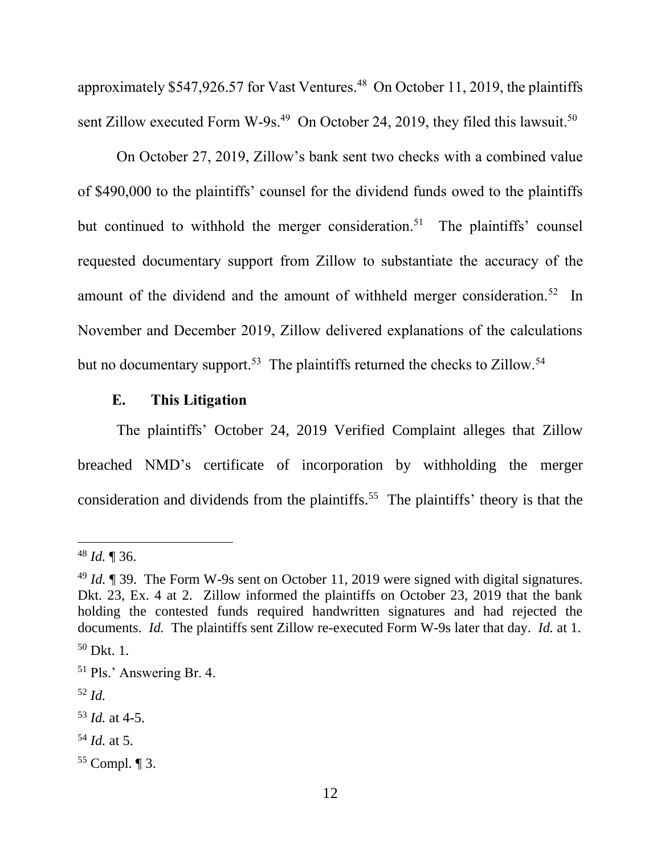approximately \$547,926.57 for Vast Ventures.<sup>48</sup> On October 11, 2019, the plaintiffs sent Zillow executed Form W-9s.<sup>49</sup> On October 24, 2019, they filed this lawsuit.<sup>50</sup>

On October 27, 2019, Zillow's bank sent two checks with a combined value of \$490,000 to the plaintiffs' counsel for the dividend funds owed to the plaintiffs but continued to withhold the merger consideration.<sup>51</sup> The plaintiffs' counsel requested documentary support from Zillow to substantiate the accuracy of the amount of the dividend and the amount of withheld merger consideration.<sup>52</sup> In November and December 2019, Zillow delivered explanations of the calculations but no documentary support.<sup>53</sup> The plaintiffs returned the checks to Zillow.<sup>54</sup>

## **E. This Litigation**

The plaintiffs' October 24, 2019 Verified Complaint alleges that Zillow breached NMD's certificate of incorporation by withholding the merger consideration and dividends from the plaintiffs.<sup>55</sup> The plaintiffs' theory is that the

<sup>54</sup> *Id.* at 5.

<sup>48</sup> *Id.* ¶ 36.

<sup>49</sup> *Id.* ¶ 39. The Form W-9s sent on October 11, 2019 were signed with digital signatures. Dkt. 23, Ex. 4 at 2. Zillow informed the plaintiffs on October 23, 2019 that the bank holding the contested funds required handwritten signatures and had rejected the documents. *Id.* The plaintiffs sent Zillow re-executed Form W-9s later that day. *Id.* at 1.  $50$  Dkt. 1.

<sup>51</sup> Pls.' Answering Br. 4.

<sup>52</sup> *Id.*

<sup>53</sup> *Id.* at 4-5.

<sup>55</sup> Compl. ¶ 3.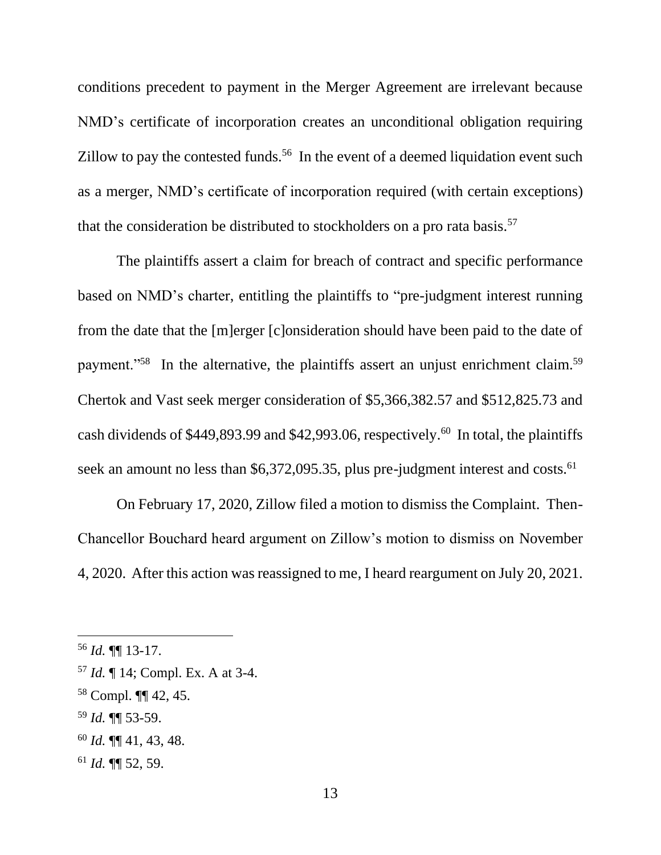conditions precedent to payment in the Merger Agreement are irrelevant because NMD's certificate of incorporation creates an unconditional obligation requiring Zillow to pay the contested funds.<sup>56</sup> In the event of a deemed liquidation event such as a merger, NMD's certificate of incorporation required (with certain exceptions) that the consideration be distributed to stockholders on a pro rata basis.<sup>57</sup>

The plaintiffs assert a claim for breach of contract and specific performance based on NMD's charter, entitling the plaintiffs to "pre-judgment interest running from the date that the [m]erger [c]onsideration should have been paid to the date of payment."<sup>58</sup> In the alternative, the plaintiffs assert an unjust enrichment claim.<sup>59</sup> Chertok and Vast seek merger consideration of \$5,366,382.57 and \$512,825.73 and cash dividends of \$449,893.99 and \$42,993.06, respectively.<sup>60</sup> In total, the plaintiffs seek an amount no less than \$6,372,095.35, plus pre-judgment interest and costs.<sup>61</sup>

On February 17, 2020, Zillow filed a motion to dismiss the Complaint. Then-Chancellor Bouchard heard argument on Zillow's motion to dismiss on November 4, 2020. After this action was reassigned to me, I heard reargument on July 20, 2021.

- <sup>59</sup> *Id.* ¶¶ 53-59.
- <sup>60</sup> *Id.* ¶¶ 41, 43, 48.
- <sup>61</sup> *Id.* ¶¶ 52, 59.

<sup>56</sup> *Id.* ¶¶ 13-17.

<sup>57</sup> *Id.* ¶ 14; Compl. Ex. A at 3-4.

<sup>58</sup> Compl. ¶¶ 42, 45.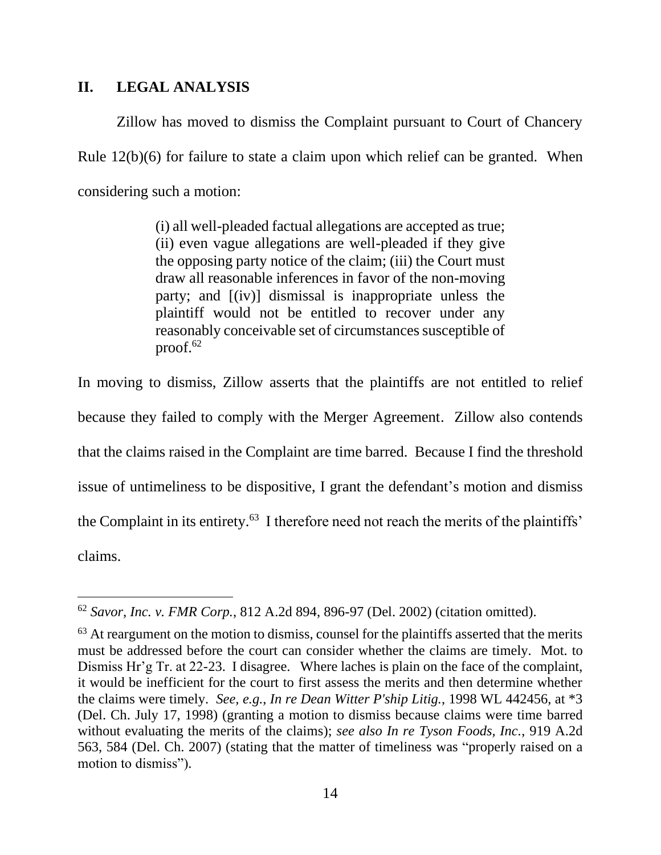#### **II. LEGAL ANALYSIS**

Zillow has moved to dismiss the Complaint pursuant to Court of Chancery Rule 12(b)(6) for failure to state a claim upon which relief can be granted. When considering such a motion:

> (i) all well-pleaded factual allegations are accepted as true; (ii) even vague allegations are well-pleaded if they give the opposing party notice of the claim; (iii) the Court must draw all reasonable inferences in favor of the non-moving party; and [(iv)] dismissal is inappropriate unless the plaintiff would not be entitled to recover under any reasonably conceivable set of circumstances susceptible of proof. $62$

In moving to dismiss, Zillow asserts that the plaintiffs are not entitled to relief because they failed to comply with the Merger Agreement. Zillow also contends that the claims raised in the Complaint are time barred. Because I find the threshold issue of untimeliness to be dispositive, I grant the defendant's motion and dismiss the Complaint in its entirety.<sup>63</sup> I therefore need not reach the merits of the plaintiffs' claims.

<sup>62</sup> *Savor, Inc. v. FMR Corp.*, 812 A.2d 894, 896-97 (Del. 2002) (citation omitted).

 $63$  At reargument on the motion to dismiss, counsel for the plaintiffs asserted that the merits must be addressed before the court can consider whether the claims are timely. Mot. to Dismiss Hr'g Tr. at 22-23. I disagree. Where laches is plain on the face of the complaint, it would be inefficient for the court to first assess the merits and then determine whether the claims were timely. *See, e.g.*, *In re Dean Witter P'ship Litig.*, 1998 WL 442456, at \*3 (Del. Ch. July 17, 1998) (granting a motion to dismiss because claims were time barred without evaluating the merits of the claims); *see also In re Tyson Foods, Inc.*, 919 A.2d 563, 584 (Del. Ch. 2007) (stating that the matter of timeliness was "properly raised on a motion to dismiss").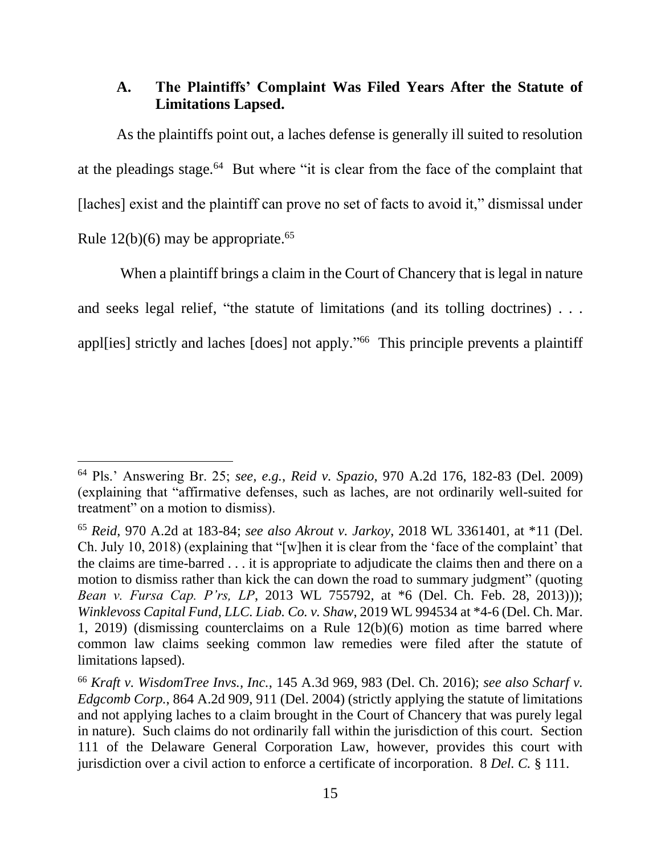## **A. The Plaintiffs' Complaint Was Filed Years After the Statute of Limitations Lapsed.**

As the plaintiffs point out, a laches defense is generally ill suited to resolution at the pleadings stage. $64$  But where "it is clear from the face of the complaint that [laches] exist and the plaintiff can prove no set of facts to avoid it," dismissal under Rule  $12(b)(6)$  may be appropriate.<sup>65</sup>

When a plaintiff brings a claim in the Court of Chancery that is legal in nature and seeks legal relief, "the statute of limitations (and its tolling doctrines) . . . appl[ies] strictly and laches [does] not apply." 66 This principle prevents a plaintiff

<sup>64</sup> Pls.' Answering Br. 25; *see, e.g.*, *Reid v. Spazio*, 970 A.2d 176, 182-83 (Del. 2009) (explaining that "affirmative defenses, such as laches, are not ordinarily well-suited for treatment" on a motion to dismiss).

<sup>65</sup> *Reid*, 970 A.2d at 183-84; *see also Akrout v. Jarkoy*, 2018 WL 3361401, at \*11 (Del. Ch. July 10, 2018) (explaining that "[w]hen it is clear from the 'face of the complaint' that the claims are time-barred . . . it is appropriate to adjudicate the claims then and there on a motion to dismiss rather than kick the can down the road to summary judgment" (quoting *Bean v. Fursa Cap. P'rs, LP*, 2013 WL 755792, at \*6 (Del. Ch. Feb. 28, 2013))); *Winklevoss Capital Fund, LLC. Liab. Co. v. Shaw*, 2019 WL 994534 at \*4-6 (Del. Ch. Mar. 1, 2019) (dismissing counterclaims on a Rule 12(b)(6) motion as time barred where common law claims seeking common law remedies were filed after the statute of limitations lapsed).

<sup>66</sup> *Kraft v. WisdomTree Invs., Inc.*, 145 A.3d 969, 983 (Del. Ch. 2016); *see also Scharf v. Edgcomb Corp.*, 864 A.2d 909, 911 (Del. 2004) (strictly applying the statute of limitations and not applying laches to a claim brought in the Court of Chancery that was purely legal in nature). Such claims do not ordinarily fall within the jurisdiction of this court. Section 111 of the Delaware General Corporation Law, however, provides this court with jurisdiction over a civil action to enforce a certificate of incorporation. 8 *Del. C.* § 111.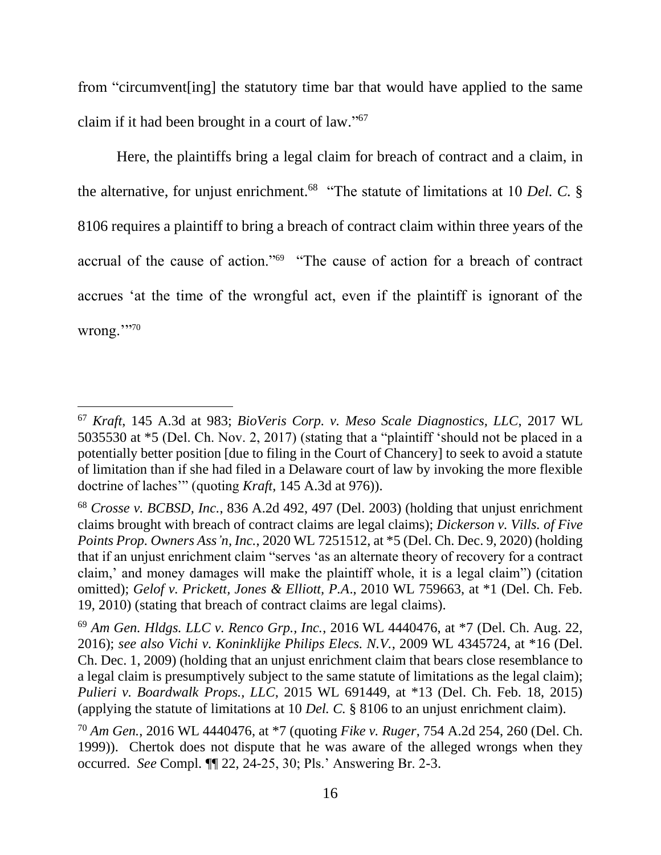from "circumvent[ing] the statutory time bar that would have applied to the same claim if it had been brought in a court of law." 67

Here, the plaintiffs bring a legal claim for breach of contract and a claim, in the alternative, for unjust enrichment.<sup>68</sup> "The statute of limitations at 10 *Del. C.* § 8106 requires a plaintiff to bring a breach of contract claim within three years of the accrual of the cause of action."<sup>69</sup> "The cause of action for a breach of contract accrues 'at the time of the wrongful act, even if the plaintiff is ignorant of the wrong.'''<sup>70</sup>

<sup>67</sup> *Kraft*, 145 A.3d at 983; *BioVeris Corp. v. Meso Scale Diagnostics, LLC*, 2017 WL 5035530 at \*5 (Del. Ch. Nov. 2, 2017) (stating that a "plaintiff 'should not be placed in a potentially better position [due to filing in the Court of Chancery] to seek to avoid a statute of limitation than if she had filed in a Delaware court of law by invoking the more flexible doctrine of laches'" (quoting *Kraft*, 145 A.3d at 976)).

<sup>68</sup> *Crosse v. BCBSD, Inc.*, 836 A.2d 492, 497 (Del. 2003) (holding that unjust enrichment claims brought with breach of contract claims are legal claims); *Dickerson v. Vills. of Five Points Prop. Owners Ass'n, Inc.*, 2020 WL 7251512, at \*5 (Del. Ch. Dec. 9, 2020) (holding that if an unjust enrichment claim "serves 'as an alternate theory of recovery for a contract claim,' and money damages will make the plaintiff whole, it is a legal claim") (citation omitted); *Gelof v. Prickett, Jones & Elliott, P.A*., 2010 WL 759663, at \*1 (Del. Ch. Feb. 19, 2010) (stating that breach of contract claims are legal claims).

<sup>69</sup> *Am Gen. Hldgs. LLC v. Renco Grp., Inc.*, 2016 WL 4440476, at \*7 (Del. Ch. Aug. 22, 2016); *see also Vichi v. Koninklijke Philips Elecs. N.V.*, 2009 WL 4345724, at \*16 (Del. Ch. Dec. 1, 2009) (holding that an unjust enrichment claim that bears close resemblance to a legal claim is presumptively subject to the same statute of limitations as the legal claim); *Pulieri v. Boardwalk Props., LLC*, 2015 WL 691449, at \*13 (Del. Ch. Feb. 18, 2015) (applying the statute of limitations at 10 *Del. C.* § 8106 to an unjust enrichment claim).

<sup>70</sup> *Am Gen.*, 2016 WL 4440476, at \*7 (quoting *Fike v. Ruger*, 754 A.2d 254, 260 (Del. Ch. 1999)). Chertok does not dispute that he was aware of the alleged wrongs when they occurred. *See* Compl. ¶¶ 22, 24-25, 30; Pls.' Answering Br. 2-3.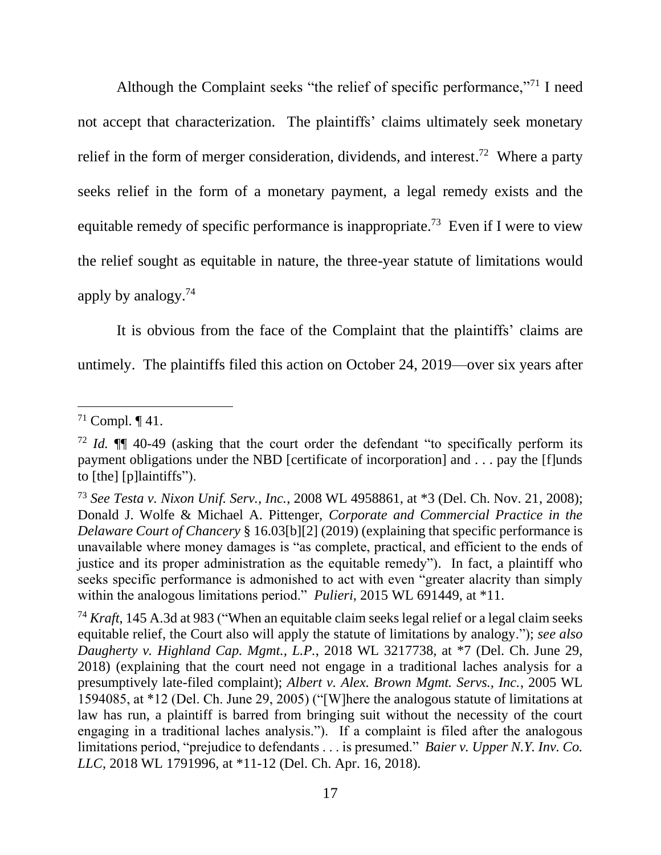Although the Complaint seeks "the relief of specific performance,"<sup>71</sup> I need not accept that characterization. The plaintiffs' claims ultimately seek monetary relief in the form of merger consideration, dividends, and interest.<sup>72</sup> Where a party seeks relief in the form of a monetary payment, a legal remedy exists and the equitable remedy of specific performance is inappropriate.<sup>73</sup> Even if I were to view the relief sought as equitable in nature, the three-year statute of limitations would apply by analogy.<sup>74</sup>

It is obvious from the face of the Complaint that the plaintiffs' claims are untimely. The plaintiffs filed this action on October 24, 2019—over six years after

<sup>&</sup>lt;sup>71</sup> Compl.  $\P$  41.

<sup>72</sup> *Id.* ¶¶ 40-49 (asking that the court order the defendant "to specifically perform its payment obligations under the NBD [certificate of incorporation] and . . . pay the [f]unds to [the] [p]laintiffs").

<sup>73</sup> *See Testa v. Nixon Unif. Serv., Inc.*, 2008 WL 4958861, at \*3 (Del. Ch. Nov. 21, 2008); Donald J. Wolfe & Michael A. Pittenger, *Corporate and Commercial Practice in the Delaware Court of Chancery* § 16.03[b][2] (2019) (explaining that specific performance is unavailable where money damages is "as complete, practical, and efficient to the ends of justice and its proper administration as the equitable remedy"). In fact, a plaintiff who seeks specific performance is admonished to act with even "greater alacrity than simply within the analogous limitations period." *Pulieri*, 2015 WL 691449, at \*11.

<sup>74</sup> *Kraft*, 145 A.3d at 983 ("When an equitable claim seeks legal relief or a legal claim seeks equitable relief, the Court also will apply the statute of limitations by analogy."); *see also Daugherty v. Highland Cap. Mgmt., L.P.*, 2018 WL 3217738, at \*7 (Del. Ch. June 29, 2018) (explaining that the court need not engage in a traditional laches analysis for a presumptively late-filed complaint); *Albert v. Alex. Brown Mgmt. Servs., Inc.*, 2005 WL 1594085, at \*12 (Del. Ch. June 29, 2005) ("[W]here the analogous statute of limitations at law has run, a plaintiff is barred from bringing suit without the necessity of the court engaging in a traditional laches analysis."). If a complaint is filed after the analogous limitations period, "prejudice to defendants . . . is presumed." *Baier v. Upper N.Y. Inv. Co. LLC*, 2018 WL 1791996, at \*11-12 (Del. Ch. Apr. 16, 2018).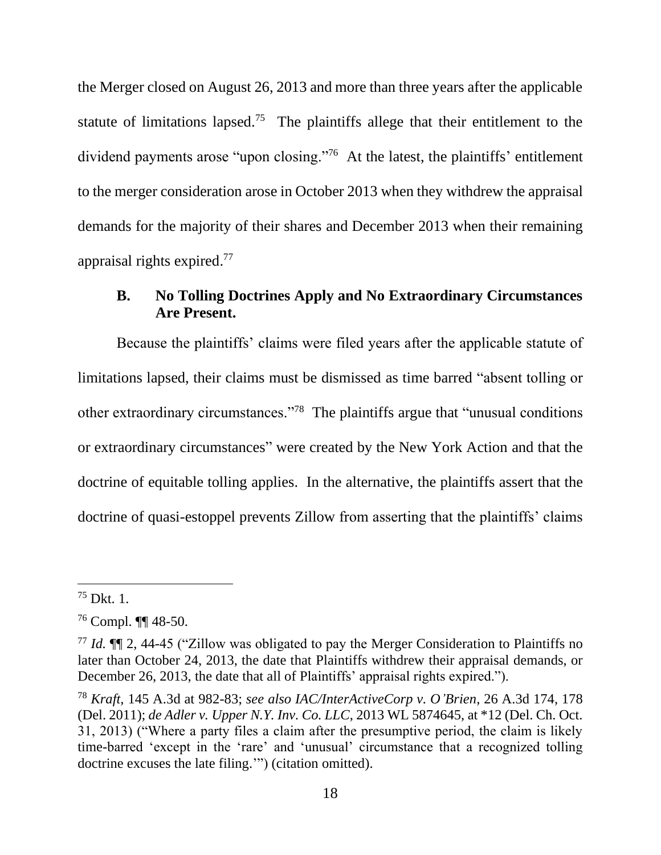the Merger closed on August 26, 2013 and more than three years after the applicable statute of limitations lapsed.<sup>75</sup> The plaintiffs allege that their entitlement to the dividend payments arose "upon closing."<sup>76</sup> At the latest, the plaintiffs' entitlement to the merger consideration arose in October 2013 when they withdrew the appraisal demands for the majority of their shares and December 2013 when their remaining appraisal rights expired. 77

# **B. No Tolling Doctrines Apply and No Extraordinary Circumstances Are Present.**

Because the plaintiffs' claims were filed years after the applicable statute of limitations lapsed, their claims must be dismissed as time barred "absent tolling or other extraordinary circumstances."<sup>78</sup> The plaintiffs argue that "unusual conditions or extraordinary circumstances" were created by the New York Action and that the doctrine of equitable tolling applies. In the alternative, the plaintiffs assert that the doctrine of quasi-estoppel prevents Zillow from asserting that the plaintiffs' claims

 $75$  Dkt. 1.

<sup>76</sup> Compl. ¶¶ 48-50.

<sup>77</sup> *Id.* ¶¶ 2, 44-45 ("Zillow was obligated to pay the Merger Consideration to Plaintiffs no later than October 24, 2013, the date that Plaintiffs withdrew their appraisal demands, or December 26, 2013, the date that all of Plaintiffs' appraisal rights expired.").

<sup>78</sup> *Kraft*, 145 A.3d at 982-83; *see also IAC/InterActiveCorp v. O'Brien*, 26 A.3d 174, 178 (Del. 2011); *de Adler v. Upper N.Y. Inv. Co. LLC*, 2013 WL 5874645, at \*12 (Del. Ch. Oct. 31, 2013) ("Where a party files a claim after the presumptive period, the claim is likely time-barred 'except in the 'rare' and 'unusual' circumstance that a recognized tolling doctrine excuses the late filing.'") (citation omitted).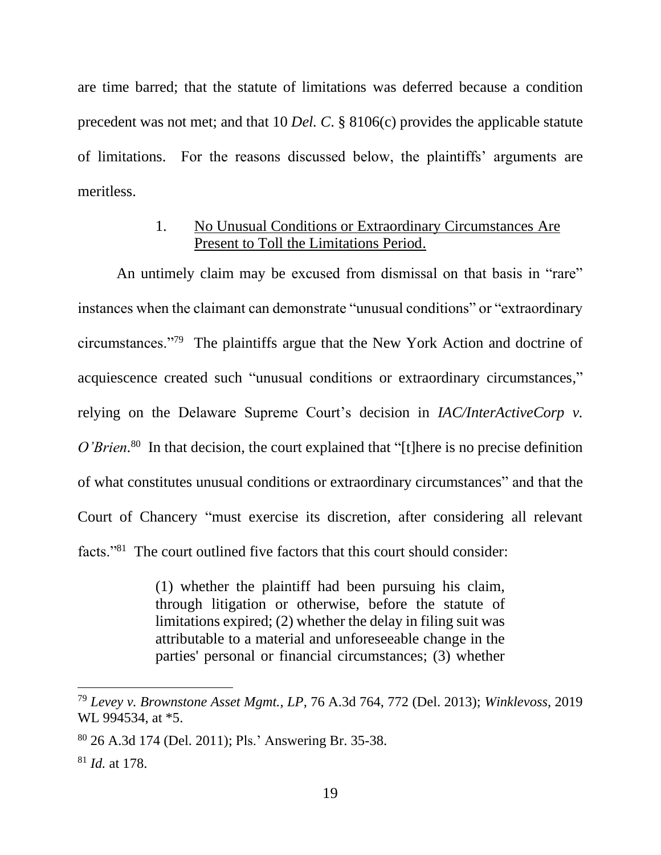are time barred; that the statute of limitations was deferred because a condition precedent was not met; and that 10 *Del. C*. § 8106(c) provides the applicable statute of limitations. For the reasons discussed below, the plaintiffs' arguments are meritless.

## 1. No Unusual Conditions or Extraordinary Circumstances Are Present to Toll the Limitations Period.

An untimely claim may be excused from dismissal on that basis in "rare" instances when the claimant can demonstrate "unusual conditions" or "extraordinary circumstances."<sup>79</sup> The plaintiffs argue that the New York Action and doctrine of acquiescence created such "unusual conditions or extraordinary circumstances," relying on the Delaware Supreme Court's decision in *IAC/InterActiveCorp v.*  O'Brien.<sup>80</sup> In that decision, the court explained that "[t]here is no precise definition of what constitutes unusual conditions or extraordinary circumstances" and that the Court of Chancery "must exercise its discretion, after considering all relevant facts."<sup>81</sup> The court outlined five factors that this court should consider:

> (1) whether the plaintiff had been pursuing his claim, through litigation or otherwise, before the statute of limitations expired; (2) whether the delay in filing suit was attributable to a material and unforeseeable change in the parties' personal or financial circumstances; (3) whether

<sup>79</sup> *Levey v. Brownstone Asset Mgmt., LP*, 76 A.3d 764, 772 (Del. 2013); *Winklevoss*, 2019 WL 994534, at \*5.

<sup>80</sup> 26 A.3d 174 (Del. 2011); Pls.' Answering Br. 35-38.

<sup>81</sup> *Id.* at 178.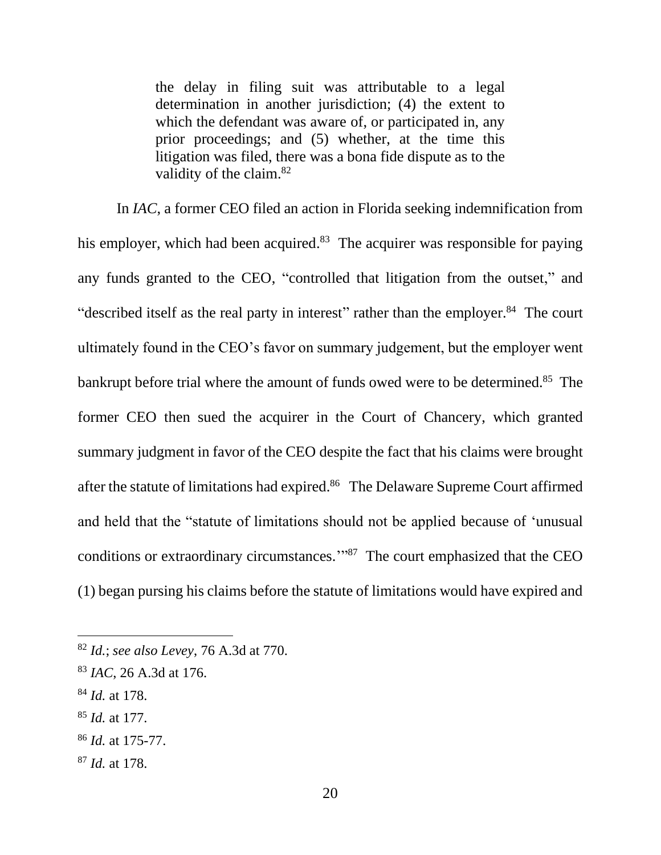the delay in filing suit was attributable to a legal determination in another jurisdiction; (4) the extent to which the defendant was aware of, or participated in, any prior proceedings; and (5) whether, at the time this litigation was filed, there was a bona fide dispute as to the validity of the claim.<sup>82</sup>

In *IAC*, a former CEO filed an action in Florida seeking indemnification from his employer, which had been acquired.<sup>83</sup> The acquirer was responsible for paying any funds granted to the CEO, "controlled that litigation from the outset," and "described itself as the real party in interest" rather than the employer.<sup>84</sup> The court ultimately found in the CEO's favor on summary judgement, but the employer went bankrupt before trial where the amount of funds owed were to be determined.<sup>85</sup> The former CEO then sued the acquirer in the Court of Chancery, which granted summary judgment in favor of the CEO despite the fact that his claims were brought after the statute of limitations had expired.<sup>86</sup> The Delaware Supreme Court affirmed and held that the "statute of limitations should not be applied because of 'unusual conditions or extraordinary circumstances.'" <sup>87</sup> The court emphasized that the CEO (1) began pursing his claims before the statute of limitations would have expired and

- <sup>84</sup> *Id.* at 178.
- <sup>85</sup> *Id.* at 177.
- <sup>86</sup> *Id.* at 175-77.
- <sup>87</sup> *Id.* at 178.

<sup>82</sup> *Id.*; *see also Levey*, 76 A.3d at 770.

<sup>83</sup> *IAC*, 26 A.3d at 176.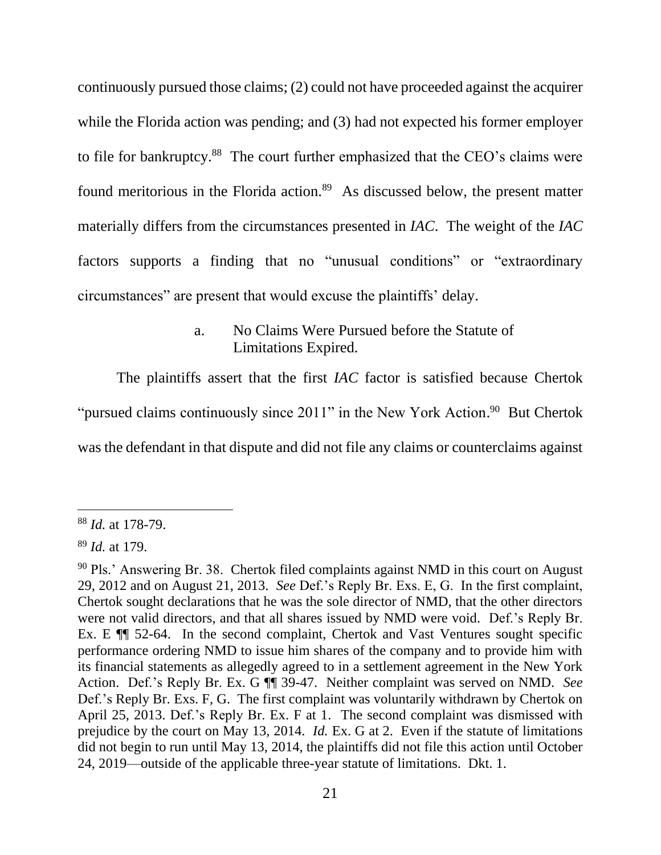continuously pursued those claims; (2) could not have proceeded against the acquirer while the Florida action was pending; and (3) had not expected his former employer to file for bankruptcy.<sup>88</sup> The court further emphasized that the CEO's claims were found meritorious in the Florida action.<sup>89</sup> As discussed below, the present matter materially differs from the circumstances presented in *IAC*. The weight of the *IAC* factors supports a finding that no "unusual conditions" or "extraordinary circumstances" are present that would excuse the plaintiffs' delay.

The plaintiffs assert that the first *IAC* factor is satisfied because Chertok

"pursued claims continuously since  $2011$ " in the New York Action.<sup>90</sup> But Chertok

was the defendant in that dispute and did not file any claims or counterclaims against

a. No Claims Were Pursued before the Statute of Limitations Expired.

<sup>88</sup> *Id.* at 178-79.

<sup>89</sup> *Id.* at 179.

<sup>90</sup> Pls.' Answering Br. 38. Chertok filed complaints against NMD in this court on August 29, 2012 and on August 21, 2013. *See* Def.'s Reply Br. Exs. E, G. In the first complaint, Chertok sought declarations that he was the sole director of NMD, that the other directors were not valid directors, and that all shares issued by NMD were void. Def.'s Reply Br. Ex. E ¶¶ 52-64. In the second complaint, Chertok and Vast Ventures sought specific performance ordering NMD to issue him shares of the company and to provide him with its financial statements as allegedly agreed to in a settlement agreement in the New York Action. Def.'s Reply Br. Ex. G ¶¶ 39-47. Neither complaint was served on NMD. *See* Def.'s Reply Br. Exs. F, G. The first complaint was voluntarily withdrawn by Chertok on April 25, 2013. Def.'s Reply Br. Ex. F at 1. The second complaint was dismissed with prejudice by the court on May 13, 2014. *Id.* Ex. G at 2. Even if the statute of limitations did not begin to run until May 13, 2014, the plaintiffs did not file this action until October 24, 2019—outside of the applicable three-year statute of limitations. Dkt. 1.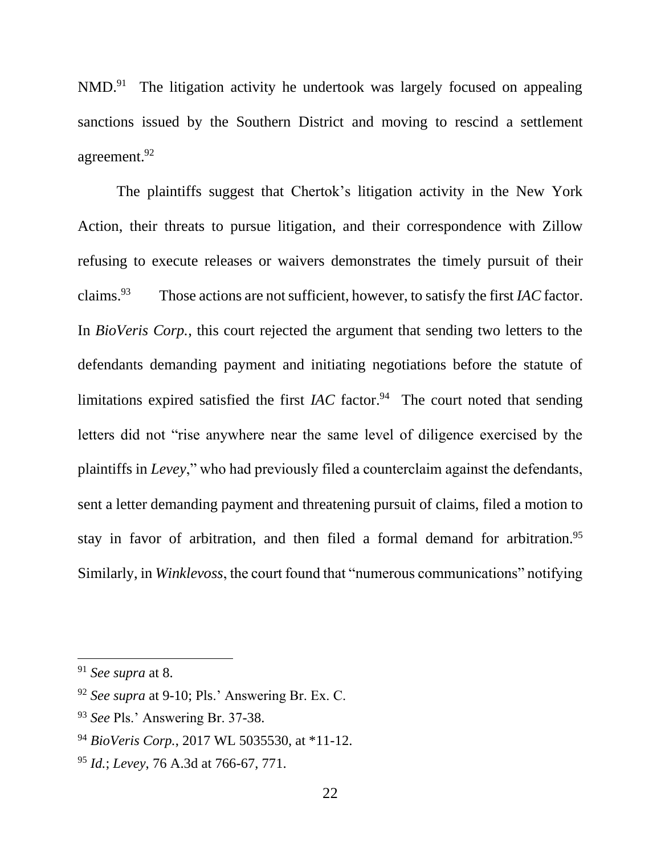NMD.<sup>91</sup> The litigation activity he undertook was largely focused on appealing sanctions issued by the Southern District and moving to rescind a settlement agreement. 92

The plaintiffs suggest that Chertok's litigation activity in the New York Action, their threats to pursue litigation, and their correspondence with Zillow refusing to execute releases or waivers demonstrates the timely pursuit of their claims.<sup>93</sup> Those actions are not sufficient, however, to satisfy the first *IAC* factor. In *BioVeris Corp.*, this court rejected the argument that sending two letters to the defendants demanding payment and initiating negotiations before the statute of limitations expired satisfied the first  $IAC$  factor.<sup>94</sup> The court noted that sending letters did not "rise anywhere near the same level of diligence exercised by the plaintiffs in *Levey*," who had previously filed a counterclaim against the defendants, sent a letter demanding payment and threatening pursuit of claims, filed a motion to stay in favor of arbitration, and then filed a formal demand for arbitration.<sup>95</sup> Similarly, in *Winklevoss*, the court found that "numerous communications" notifying

<sup>91</sup> *See supra* at 8.

<sup>92</sup> *See supra* at 9-10; Pls.' Answering Br. Ex. C.

<sup>93</sup> *See* Pls.' Answering Br. 37-38.

<sup>94</sup> *BioVeris Corp.*, 2017 WL 5035530, at \*11-12.

<sup>95</sup> *Id.*; *Levey*, 76 A.3d at 766-67, 771.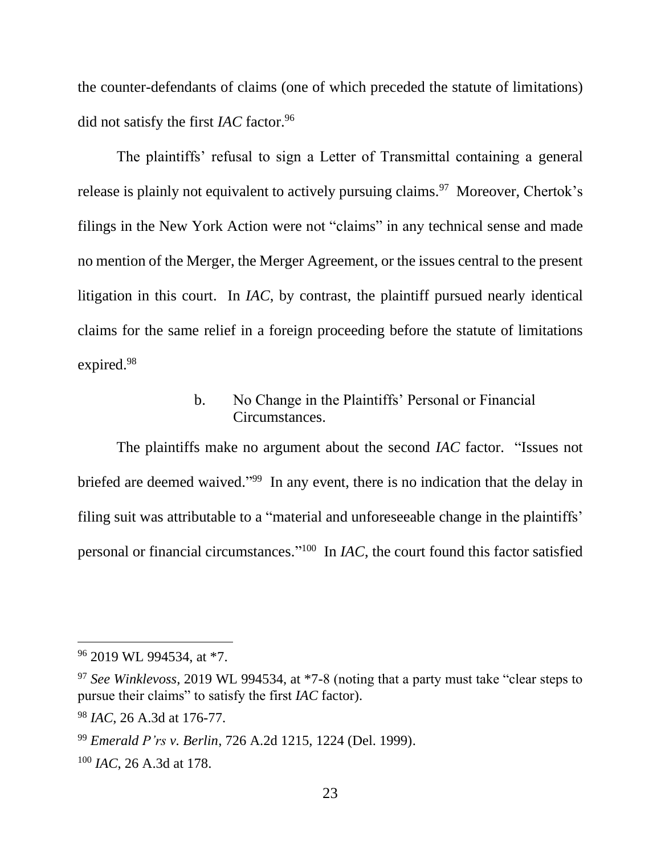the counter-defendants of claims (one of which preceded the statute of limitations) did not satisfy the first *IAC* factor.<sup>96</sup>

The plaintiffs' refusal to sign a Letter of Transmittal containing a general release is plainly not equivalent to actively pursuing claims.<sup>97</sup> Moreover, Chertok's filings in the New York Action were not "claims" in any technical sense and made no mention of the Merger, the Merger Agreement, or the issues central to the present litigation in this court. In *IAC*, by contrast, the plaintiff pursued nearly identical claims for the same relief in a foreign proceeding before the statute of limitations expired.<sup>98</sup>

### b. No Change in the Plaintiffs' Personal or Financial Circumstances.

The plaintiffs make no argument about the second *IAC* factor. "Issues not briefed are deemed waived."<sup>99</sup> In any event, there is no indication that the delay in filing suit was attributable to a "material and unforeseeable change in the plaintiffs' personal or financial circumstances." <sup>100</sup> In *IAC*, the court found this factor satisfied

<sup>96</sup> 2019 WL 994534, at \*7.

<sup>97</sup> *See Winklevoss*, 2019 WL 994534, at \*7-8 (noting that a party must take "clear steps to pursue their claims" to satisfy the first *IAC* factor).

<sup>98</sup> *IAC*, 26 A.3d at 176-77.

<sup>99</sup> *Emerald P'rs v. Berlin*, 726 A.2d 1215, 1224 (Del. 1999).

<sup>100</sup> *IAC*, 26 A.3d at 178.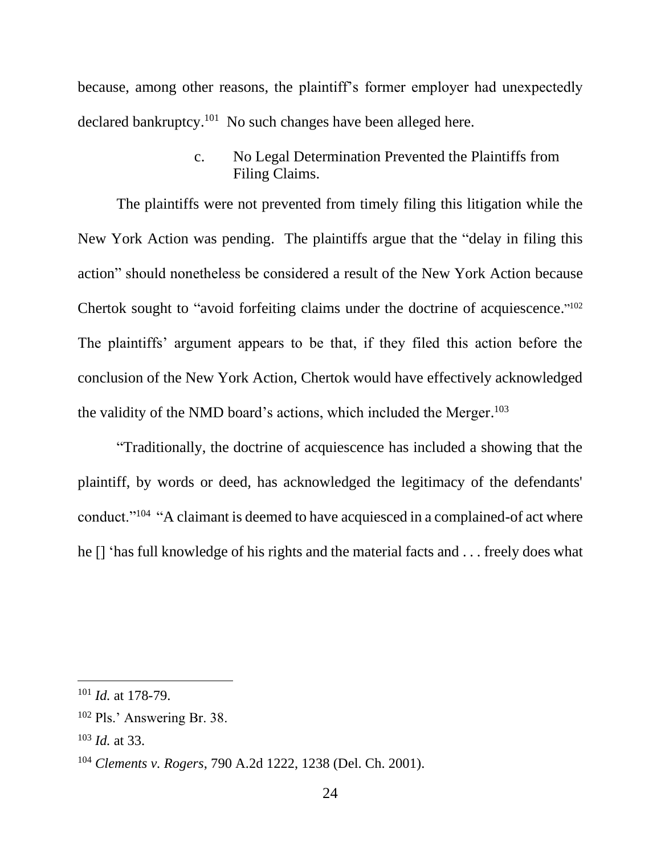because, among other reasons, the plaintiff's former employer had unexpectedly declared bankruptcy.<sup>101</sup> No such changes have been alleged here.

> c. No Legal Determination Prevented the Plaintiffs from Filing Claims.

The plaintiffs were not prevented from timely filing this litigation while the New York Action was pending. The plaintiffs argue that the "delay in filing this action" should nonetheless be considered a result of the New York Action because Chertok sought to "avoid forfeiting claims under the doctrine of acquiescence."<sup>102</sup> The plaintiffs' argument appears to be that, if they filed this action before the conclusion of the New York Action, Chertok would have effectively acknowledged the validity of the NMD board's actions, which included the Merger.<sup>103</sup>

"Traditionally, the doctrine of acquiescence has included a showing that the plaintiff, by words or deed, has acknowledged the legitimacy of the defendants' conduct."<sup>104</sup> "A claimant is deemed to have acquiesced in a complained-of act where he [] 'has full knowledge of his rights and the material facts and . . . freely does what

<sup>101</sup> *Id.* at 178-79.

<sup>102</sup> Pls.' Answering Br. 38.

<sup>103</sup> *Id.* at 33.

<sup>104</sup> *Clements v. Rogers*, 790 A.2d 1222, 1238 (Del. Ch. 2001).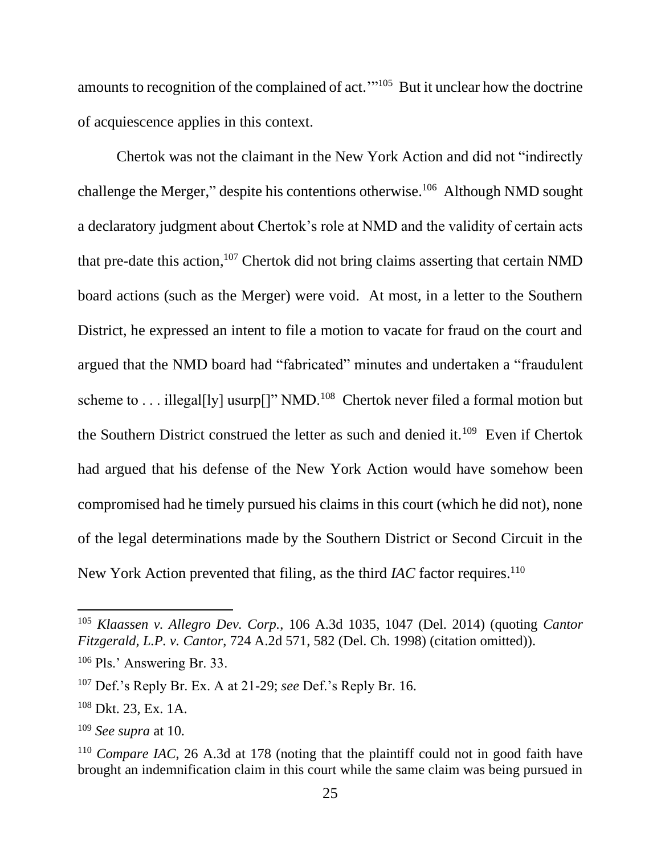amounts to recognition of the complained of act."<sup>105</sup> But it unclear how the doctrine of acquiescence applies in this context.

Chertok was not the claimant in the New York Action and did not "indirectly challenge the Merger," despite his contentions otherwise.<sup>106</sup> Although NMD sought a declaratory judgment about Chertok's role at NMD and the validity of certain acts that pre-date this action, <sup>107</sup> Chertok did not bring claims asserting that certain NMD board actions (such as the Merger) were void. At most, in a letter to the Southern District, he expressed an intent to file a motion to vacate for fraud on the court and argued that the NMD board had "fabricated" minutes and undertaken a "fraudulent scheme to . . . illegal[ly] usurp[]" NMD.<sup>108</sup> Chertok never filed a formal motion but the Southern District construed the letter as such and denied it.<sup>109</sup> Even if Chertok had argued that his defense of the New York Action would have somehow been compromised had he timely pursued his claims in this court (which he did not), none of the legal determinations made by the Southern District or Second Circuit in the New York Action prevented that filing, as the third *IAC* factor requires.<sup>110</sup>

<sup>105</sup> *Klaassen v. Allegro Dev. Corp.*, 106 A.3d 1035, 1047 (Del. 2014) (quoting *Cantor Fitzgerald, L.P. v. Cantor*, 724 A.2d 571, 582 (Del. Ch. 1998) (citation omitted)).

<sup>106</sup> Pls.' Answering Br. 33.

<sup>107</sup> Def.'s Reply Br. Ex. A at 21-29; *see* Def.'s Reply Br. 16.

<sup>108</sup> Dkt. 23, Ex. 1A.

<sup>109</sup> *See supra* at 10.

<sup>110</sup> *Compare IAC*, 26 A.3d at 178 (noting that the plaintiff could not in good faith have brought an indemnification claim in this court while the same claim was being pursued in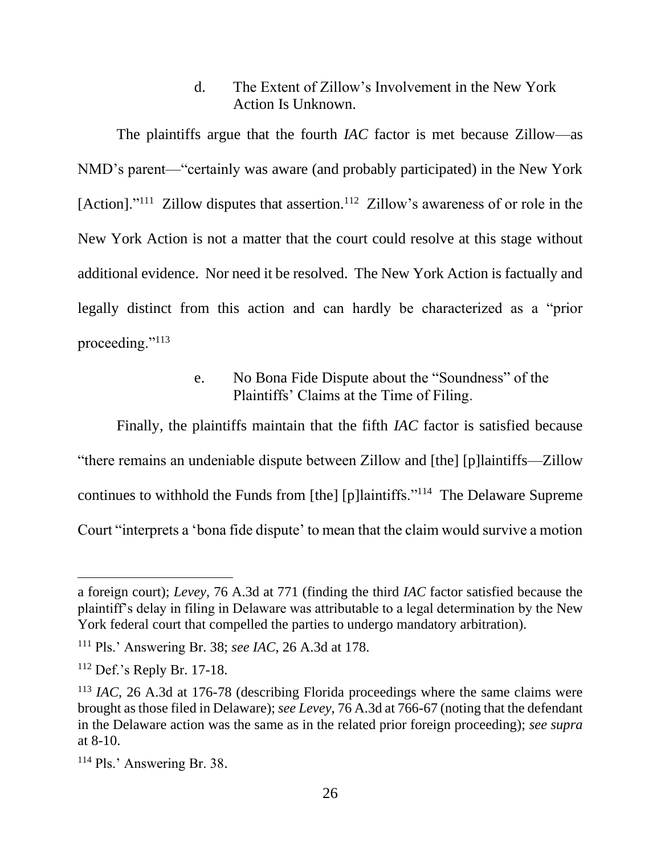d. The Extent of Zillow's Involvement in the New York Action Is Unknown.

The plaintiffs argue that the fourth *IAC* factor is met because Zillow—as NMD's parent—"certainly was aware (and probably participated) in the New York [Action]."<sup>111</sup> Zillow disputes that assertion.<sup>112</sup> Zillow's awareness of or role in the New York Action is not a matter that the court could resolve at this stage without additional evidence. Nor need it be resolved. The New York Action is factually and legally distinct from this action and can hardly be characterized as a "prior proceeding."<sup>113</sup>

## e. No Bona Fide Dispute about the "Soundness" of the Plaintiffs' Claims at the Time of Filing.

Finally, the plaintiffs maintain that the fifth *IAC* factor is satisfied because "there remains an undeniable dispute between Zillow and [the] [p]laintiffs—Zillow continues to withhold the Funds from [the] [p]laintiffs."<sup>114</sup> The Delaware Supreme Court "interprets a 'bona fide dispute' to mean that the claim would survive a motion

a foreign court); *Levey*, 76 A.3d at 771 (finding the third *IAC* factor satisfied because the plaintiff's delay in filing in Delaware was attributable to a legal determination by the New York federal court that compelled the parties to undergo mandatory arbitration).

<sup>111</sup> Pls.' Answering Br. 38; *see IAC*, 26 A.3d at 178.

<sup>112</sup> Def.'s Reply Br. 17-18.

<sup>113</sup> *IAC*, 26 A.3d at 176-78 (describing Florida proceedings where the same claims were brought as those filed in Delaware); *see Levey*, 76 A.3d at 766-67 (noting that the defendant in the Delaware action was the same as in the related prior foreign proceeding); *see supra* at 8-10.

<sup>114</sup> Pls.' Answering Br. 38.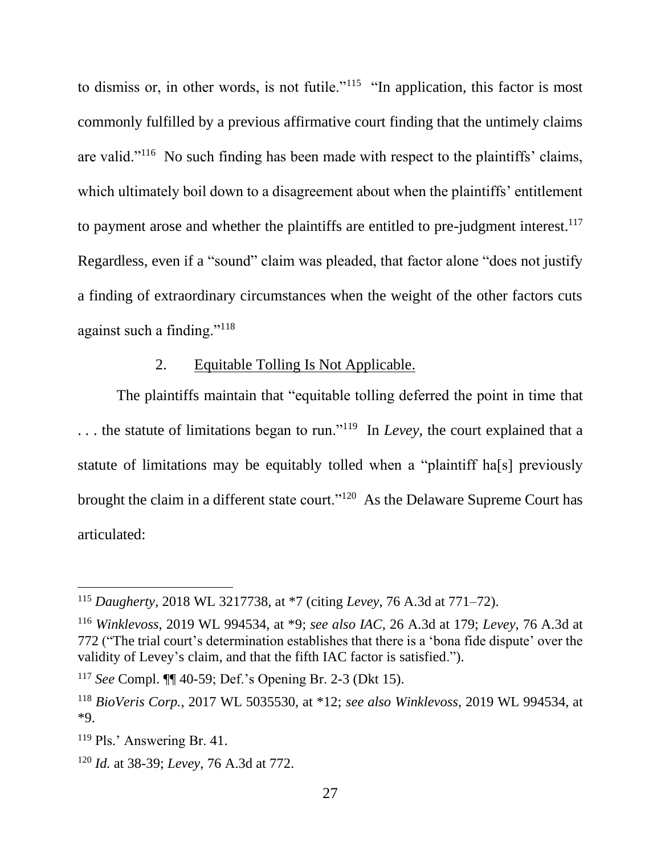to dismiss or, in other words, is not futile."<sup>115</sup> "In application, this factor is most commonly fulfilled by a previous affirmative court finding that the untimely claims are valid."<sup>116</sup> No such finding has been made with respect to the plaintiffs' claims, which ultimately boil down to a disagreement about when the plaintiffs' entitlement to payment arose and whether the plaintiffs are entitled to pre-judgment interest.<sup>117</sup> Regardless, even if a "sound" claim was pleaded, that factor alone "does not justify a finding of extraordinary circumstances when the weight of the other factors cuts against such a finding."<sup>118</sup>

# 2. Equitable Tolling Is Not Applicable.

The plaintiffs maintain that "equitable tolling deferred the point in time that ... the statute of limitations began to run."<sup>119</sup> In *Levey*, the court explained that a statute of limitations may be equitably tolled when a "plaintiff ha[s] previously brought the claim in a different state court."<sup>120</sup> As the Delaware Supreme Court has articulated:

<sup>115</sup> *Daugherty*, 2018 WL 3217738, at \*7 (citing *Levey*, 76 A.3d at 771–72).

<sup>116</sup> *Winklevoss*, 2019 WL 994534, at \*9; *see also IAC*, 26 A.3d at 179; *Levey*, 76 A.3d at 772 ("The trial court's determination establishes that there is a 'bona fide dispute' over the validity of Levey's claim, and that the fifth IAC factor is satisfied.").

<sup>117</sup> *See* Compl. ¶¶ 40-59; Def.'s Opening Br. 2-3 (Dkt 15).

<sup>118</sup> *BioVeris Corp.*, 2017 WL 5035530, at \*12; *see also Winklevoss*, 2019 WL 994534, at \*9.

<sup>119</sup> Pls.' Answering Br. 41.

<sup>120</sup> *Id.* at 38-39; *Levey*, 76 A.3d at 772.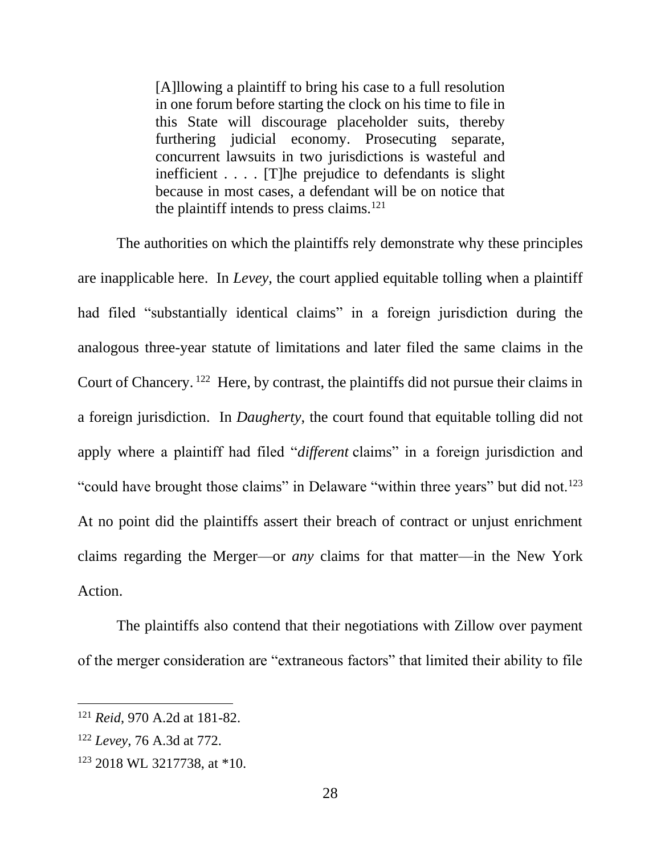[A]llowing a plaintiff to bring his case to a full resolution in one forum before starting the clock on his time to file in this State will discourage placeholder suits, thereby furthering judicial economy. Prosecuting separate, concurrent lawsuits in two jurisdictions is wasteful and inefficient . . . . [T]he prejudice to defendants is slight because in most cases, a defendant will be on notice that the plaintiff intends to press claims. $121$ 

The authorities on which the plaintiffs rely demonstrate why these principles are inapplicable here. In *Levey*, the court applied equitable tolling when a plaintiff had filed "substantially identical claims" in a foreign jurisdiction during the analogous three-year statute of limitations and later filed the same claims in the Court of Chancery.<sup>122</sup> Here, by contrast, the plaintiffs did not pursue their claims in a foreign jurisdiction. In *Daugherty*, the court found that equitable tolling did not apply where a plaintiff had filed "*different* claims" in a foreign jurisdiction and "could have brought those claims" in Delaware "within three years" but did not.<sup>123</sup> At no point did the plaintiffs assert their breach of contract or unjust enrichment claims regarding the Merger—or *any* claims for that matter—in the New York Action.

The plaintiffs also contend that their negotiations with Zillow over payment of the merger consideration are "extraneous factors" that limited their ability to file

<sup>121</sup> *Reid*, 970 A.2d at 181-82.

<sup>122</sup> *Levey*, 76 A.3d at 772.

<sup>123</sup> 2018 WL 3217738, at \*10.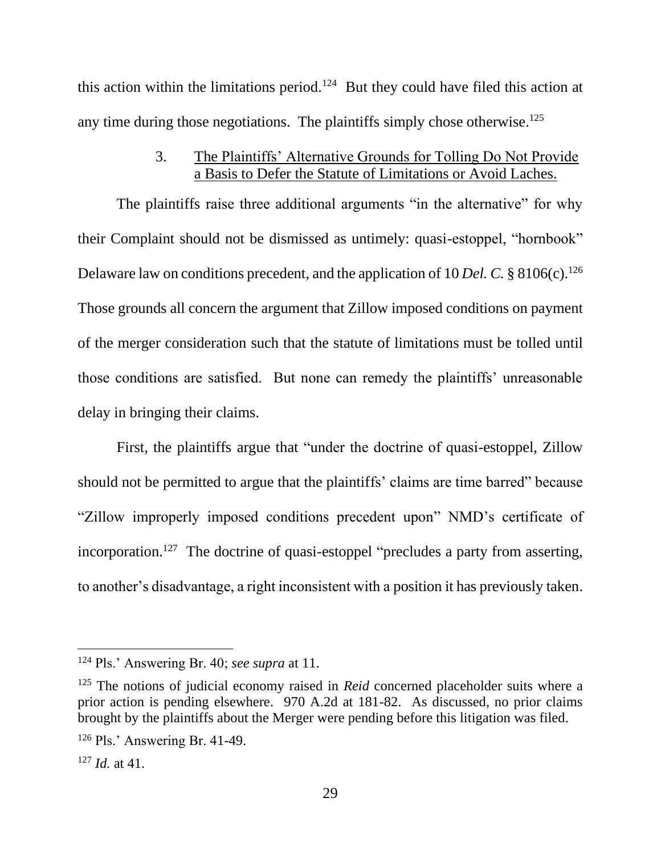this action within the limitations period.<sup>124</sup> But they could have filed this action at any time during those negotiations. The plaintiffs simply chose otherwise.<sup>125</sup>

## 3. The Plaintiffs' Alternative Grounds for Tolling Do Not Provide a Basis to Defer the Statute of Limitations or Avoid Laches.

The plaintiffs raise three additional arguments "in the alternative" for why their Complaint should not be dismissed as untimely: quasi-estoppel, "hornbook" Delaware law on conditions precedent, and the application of 10 *Del. C.* § 8106(c).<sup>126</sup> Those grounds all concern the argument that Zillow imposed conditions on payment of the merger consideration such that the statute of limitations must be tolled until those conditions are satisfied. But none can remedy the plaintiffs' unreasonable delay in bringing their claims.

First, the plaintiffs argue that "under the doctrine of quasi-estoppel, Zillow should not be permitted to argue that the plaintiffs' claims are time barred" because "Zillow improperly imposed conditions precedent upon" NMD's certificate of incorporation.<sup>127</sup> The doctrine of quasi-estoppel "precludes a party from asserting, to another's disadvantage, a right inconsistent with a position it has previously taken.

<sup>124</sup> Pls.' Answering Br. 40; *see supra* at 11.

<sup>&</sup>lt;sup>125</sup> The notions of judicial economy raised in *Reid* concerned placeholder suits where a prior action is pending elsewhere. 970 A.2d at 181-82. As discussed, no prior claims brought by the plaintiffs about the Merger were pending before this litigation was filed.

<sup>126</sup> Pls.' Answering Br. 41-49.

<sup>127</sup> *Id.* at 41.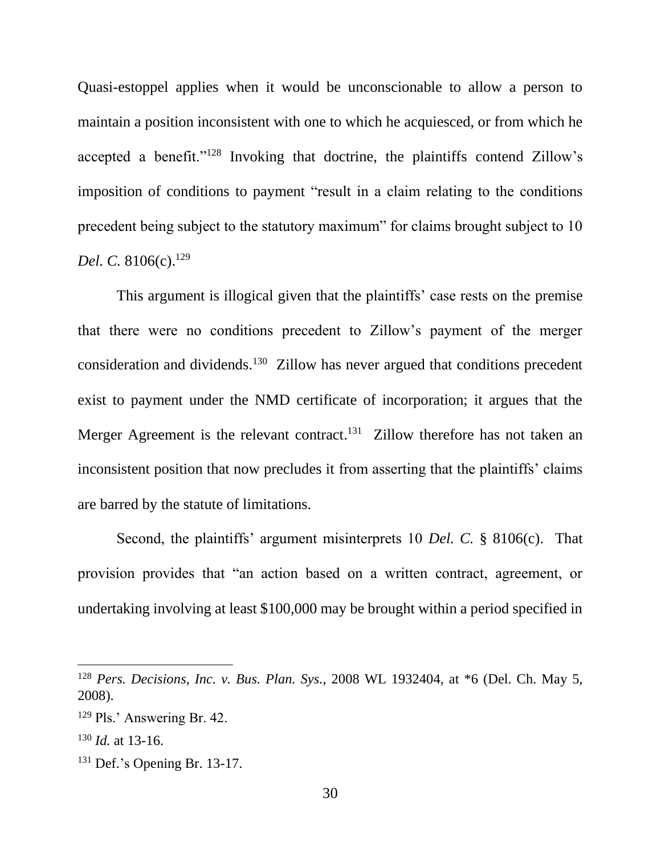Quasi-estoppel applies when it would be unconscionable to allow a person to maintain a position inconsistent with one to which he acquiesced, or from which he accepted a benefit."<sup>128</sup> Invoking that doctrine, the plaintiffs contend Zillow's imposition of conditions to payment "result in a claim relating to the conditions precedent being subject to the statutory maximum" for claims brought subject to 10 *Del. C.* 8106(c).<sup>129</sup>

This argument is illogical given that the plaintiffs' case rests on the premise that there were no conditions precedent to Zillow's payment of the merger consideration and dividends.<sup>130</sup> Zillow has never argued that conditions precedent exist to payment under the NMD certificate of incorporation; it argues that the Merger Agreement is the relevant contract.<sup>131</sup> Zillow therefore has not taken an inconsistent position that now precludes it from asserting that the plaintiffs' claims are barred by the statute of limitations.

Second, the plaintiffs' argument misinterprets 10 *Del. C.* § 8106(c). That provision provides that "an action based on a written contract, agreement, or undertaking involving at least \$100,000 may be brought within a period specified in

<sup>128</sup> *Pers. Decisions, Inc. v. Bus. Plan. Sys.*, 2008 WL 1932404, at \*6 (Del. Ch. May 5, 2008).

<sup>129</sup> Pls.' Answering Br. 42.

<sup>130</sup> *Id.* at 13-16.

<sup>131</sup> Def.'s Opening Br. 13-17.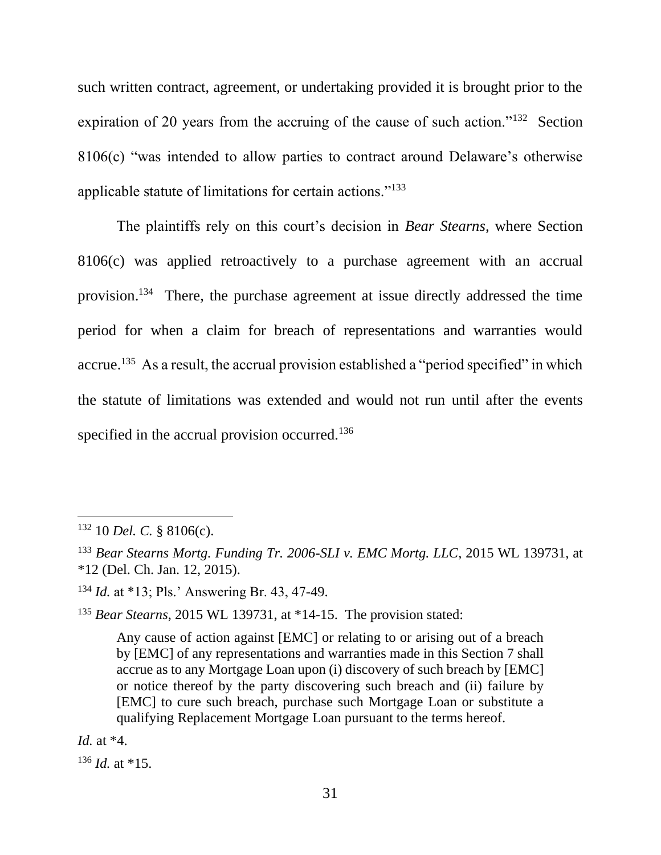such written contract, agreement, or undertaking provided it is brought prior to the expiration of 20 years from the accruing of the cause of such action."<sup>132</sup> Section 8106(c) "was intended to allow parties to contract around Delaware's otherwise applicable statute of limitations for certain actions."<sup>133</sup>

The plaintiffs rely on this court's decision in *Bear Stearns*, where Section 8106(c) was applied retroactively to a purchase agreement with an accrual provision.<sup>134</sup> There, the purchase agreement at issue directly addressed the time period for when a claim for breach of representations and warranties would accrue.<sup>135</sup> As a result, the accrual provision established a "period specified" in which the statute of limitations was extended and would not run until after the events specified in the accrual provision occurred.<sup>136</sup>

<sup>135</sup> *Bear Stearns*, 2015 WL 139731, at \*14-15.The provision stated:

Any cause of action against [EMC] or relating to or arising out of a breach by [EMC] of any representations and warranties made in this Section 7 shall accrue as to any Mortgage Loan upon (i) discovery of such breach by [EMC] or notice thereof by the party discovering such breach and (ii) failure by [EMC] to cure such breach, purchase such Mortgage Loan or substitute a qualifying Replacement Mortgage Loan pursuant to the terms hereof.

*Id.* at \*4.

 $136$  *Id.* at \*15.

 $132$  10 *Del. C.* § 8106(c).

<sup>133</sup> *Bear Stearns Mortg. Funding Tr. 2006-SLI v. EMC Mortg. LLC*, 2015 WL 139731, at \*12 (Del. Ch. Jan. 12, 2015).

<sup>134</sup> *Id.* at \*13; Pls.' Answering Br. 43, 47-49.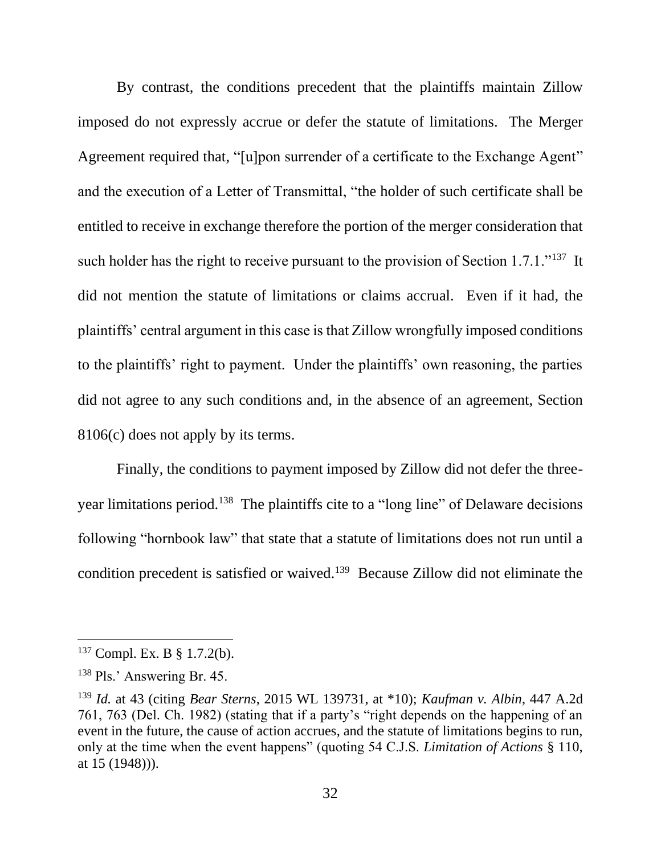By contrast, the conditions precedent that the plaintiffs maintain Zillow imposed do not expressly accrue or defer the statute of limitations. The Merger Agreement required that, "[u]pon surrender of a certificate to the Exchange Agent" and the execution of a Letter of Transmittal, "the holder of such certificate shall be entitled to receive in exchange therefore the portion of the merger consideration that such holder has the right to receive pursuant to the provision of Section  $1.7.1.^{\cdot 137}$  It did not mention the statute of limitations or claims accrual. Even if it had, the plaintiffs' central argument in this case is that Zillow wrongfully imposed conditions to the plaintiffs' right to payment. Under the plaintiffs' own reasoning, the parties did not agree to any such conditions and, in the absence of an agreement, Section 8106(c) does not apply by its terms.

Finally, the conditions to payment imposed by Zillow did not defer the threeyear limitations period.<sup>138</sup> The plaintiffs cite to a "long line" of Delaware decisions following "hornbook law" that state that a statute of limitations does not run until a condition precedent is satisfied or waived.<sup>139</sup> Because Zillow did not eliminate the

<sup>137</sup> Compl. Ex. B § 1.7.2(b).

<sup>138</sup> Pls.' Answering Br. 45.

<sup>139</sup> *Id.* at 43 (citing *Bear Sterns*, 2015 WL 139731, at \*10); *Kaufman v. Albin*, 447 A.2d 761, 763 (Del. Ch. 1982) (stating that if a party's "right depends on the happening of an event in the future, the cause of action accrues, and the statute of limitations begins to run, only at the time when the event happens" (quoting 54 C.J.S. *Limitation of Actions* § 110, at 15 (1948))).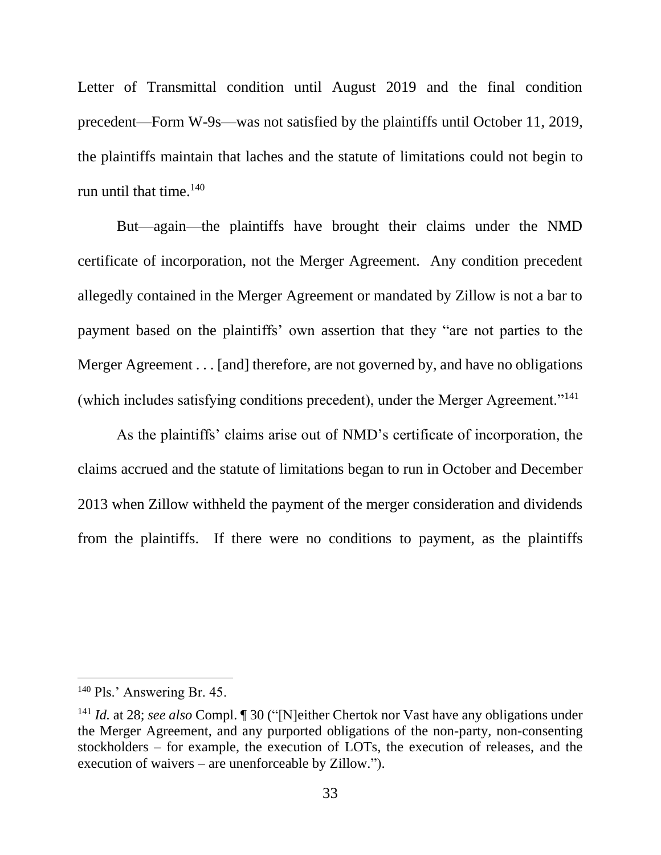Letter of Transmittal condition until August 2019 and the final condition precedent—Form W-9s—was not satisfied by the plaintiffs until October 11, 2019, the plaintiffs maintain that laches and the statute of limitations could not begin to run until that time.<sup>140</sup>

But—again—the plaintiffs have brought their claims under the NMD certificate of incorporation, not the Merger Agreement. Any condition precedent allegedly contained in the Merger Agreement or mandated by Zillow is not a bar to payment based on the plaintiffs' own assertion that they "are not parties to the Merger Agreement . . . [and] therefore, are not governed by, and have no obligations (which includes satisfying conditions precedent), under the Merger Agreement."<sup>141</sup>

As the plaintiffs' claims arise out of NMD's certificate of incorporation, the claims accrued and the statute of limitations began to run in October and December 2013 when Zillow withheld the payment of the merger consideration and dividends from the plaintiffs. If there were no conditions to payment, as the plaintiffs

<sup>&</sup>lt;sup>140</sup> Pls.' Answering Br. 45.

<sup>&</sup>lt;sup>141</sup> *Id.* at 28; *see also* Compl. ¶ 30 ("[N]either Chertok nor Vast have any obligations under the Merger Agreement, and any purported obligations of the non-party, non-consenting stockholders – for example, the execution of LOTs, the execution of releases, and the execution of waivers – are unenforceable by Zillow.").